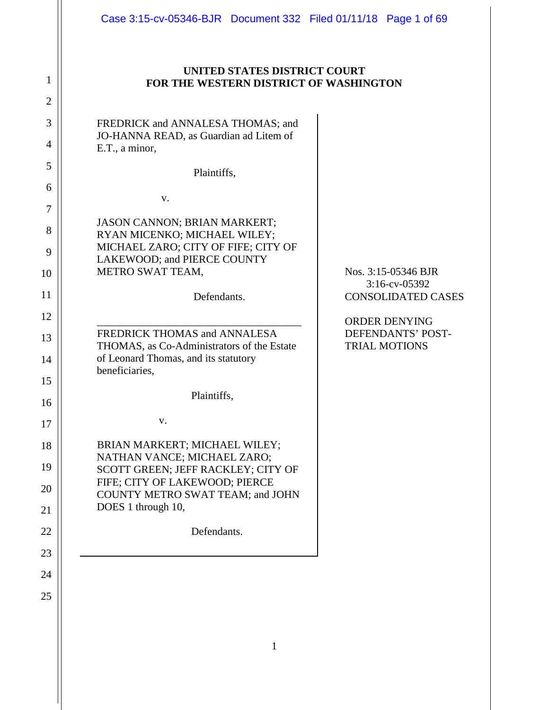| Case 3:15-cv-05346-BJR  Document 332  Filed 01/11/18  Page 1 of 69                                                                                                                             |                                                                                              |
|------------------------------------------------------------------------------------------------------------------------------------------------------------------------------------------------|----------------------------------------------------------------------------------------------|
| UNITED STATES DISTRICT COURT<br>FOR THE WESTERN DISTRICT OF WASHINGTON                                                                                                                         |                                                                                              |
| FREDRICK and ANNALESA THOMAS; and<br>JO-HANNA READ, as Guardian ad Litem of<br>E.T., a minor,                                                                                                  |                                                                                              |
| Plaintiffs,                                                                                                                                                                                    |                                                                                              |
| V.                                                                                                                                                                                             |                                                                                              |
| <b>JASON CANNON; BRIAN MARKERT;</b><br>RYAN MICENKO; MICHAEL WILEY;<br>MICHAEL ZARO; CITY OF FIFE; CITY OF<br>LAKEWOOD; and PIERCE COUNTY<br>METRO SWAT TEAM,<br>Defendants.                   | Nos. 3:15-05346 BJR<br>$3:16$ -cv-05392<br><b>CONSOLIDATED CASES</b><br><b>ORDER DENYING</b> |
| FREDRICK THOMAS and ANNALESA<br>THOMAS, as Co-Administrators of the Estate<br>of Leonard Thomas, and its statutory<br>beneficiaries,                                                           | <b>DEFENDANTS' POST-</b><br><b>TRIAL MOTIONS</b>                                             |
| Plaintiffs.                                                                                                                                                                                    |                                                                                              |
| V.                                                                                                                                                                                             |                                                                                              |
| BRIAN MARKERT; MICHAEL WILEY;<br>NATHAN VANCE; MICHAEL ZARO;<br>SCOTT GREEN; JEFF RACKLEY; CITY OF<br>FIFE; CITY OF LAKEWOOD; PIERCE<br>COUNTY METRO SWAT TEAM; and JOHN<br>DOES 1 through 10, |                                                                                              |
| Defendants.                                                                                                                                                                                    |                                                                                              |

1

2

3

4

5

6

7

8

9

10

11

12

13

14

15

16

17

18

19

20

21

22

23

24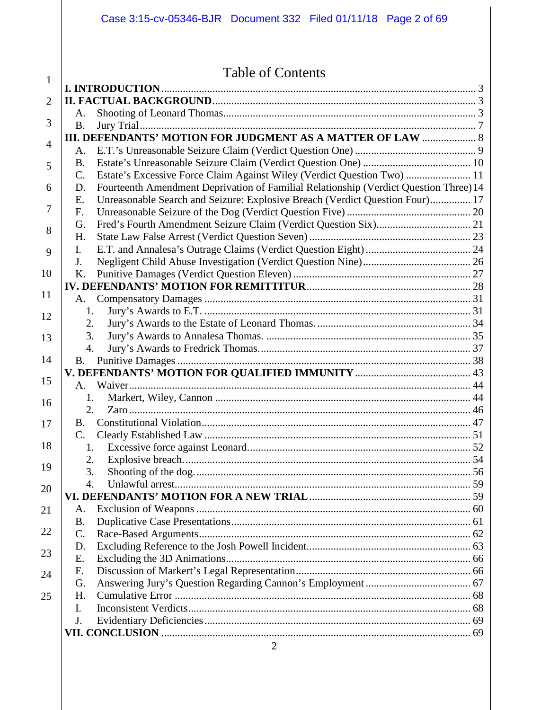|                | Case 3:15-cv-05346-BJR  Document 332  Filed 01/11/18  Page 2 of 69                          |  |
|----------------|---------------------------------------------------------------------------------------------|--|
|                |                                                                                             |  |
|                | <b>Table of Contents</b>                                                                    |  |
| $\mathbf{1}$   |                                                                                             |  |
| $\overline{2}$ |                                                                                             |  |
|                | A.                                                                                          |  |
| 3              | <b>B.</b>                                                                                   |  |
| $\overline{4}$ | <b>III. DEFENDANTS' MOTION FOR JUDGMENT AS A MATTER OF LAW  8</b>                           |  |
|                |                                                                                             |  |
| 5              | <b>B.</b>                                                                                   |  |
|                | Estate's Excessive Force Claim Against Wiley (Verdict Question Two)  11<br>$\mathbf{C}$ .   |  |
| 6              | Fourteenth Amendment Deprivation of Familial Relationship (Verdict Question Three) 14<br>D. |  |
| 7              | Unreasonable Search and Seizure: Explosive Breach (Verdict Question Four) 17<br>Ε.          |  |
|                | $F_{\cdot}$                                                                                 |  |
| 8              | G.                                                                                          |  |
|                | H.                                                                                          |  |
| 9              | $\mathbf{I}$ .                                                                              |  |
|                | J.                                                                                          |  |
| 10             | K.                                                                                          |  |
| 11             |                                                                                             |  |
|                | A.                                                                                          |  |
| 12             | 1.<br>2.                                                                                    |  |
|                | 3.                                                                                          |  |
| 13             | $\overline{4}$ .                                                                            |  |
| 14             |                                                                                             |  |
|                |                                                                                             |  |
| 15             | $A_{1}$                                                                                     |  |
|                | 1.                                                                                          |  |
| 16             | 2.                                                                                          |  |
| 17             | B.                                                                                          |  |
|                | $\mathbf{C}$ .                                                                              |  |
| 18             | 1.                                                                                          |  |
|                | 2.                                                                                          |  |
| 19             | 3.                                                                                          |  |
| 20             | 4.                                                                                          |  |
|                |                                                                                             |  |
| 21             | A.                                                                                          |  |
|                | <b>B.</b>                                                                                   |  |
| 22             | C.                                                                                          |  |
| 23             | D.                                                                                          |  |
|                | Ε.                                                                                          |  |
| 24             | F.                                                                                          |  |
|                | G.                                                                                          |  |
| 25             | H.                                                                                          |  |
|                | I.                                                                                          |  |
|                | J.                                                                                          |  |
|                |                                                                                             |  |
|                |                                                                                             |  |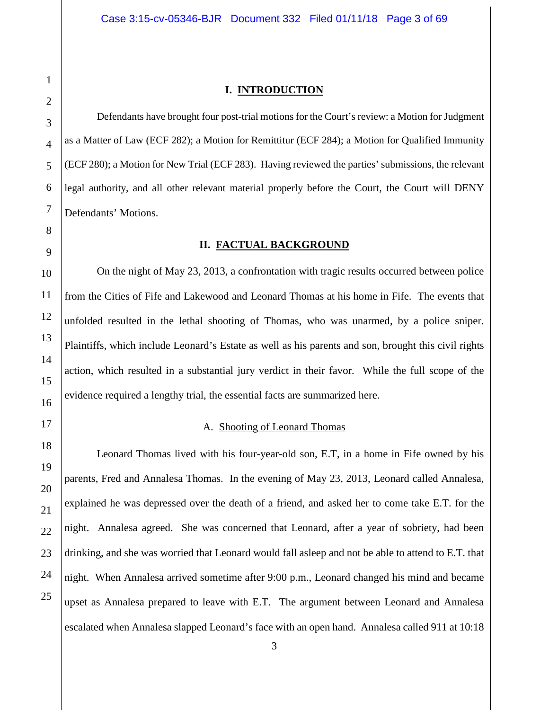#### **I. INTRODUCTION**

<span id="page-2-0"></span>Defendants have brought four post-trial motions for the Court's review: a Motion for Judgment as a Matter of Law (ECF 282); a Motion for Remittitur (ECF 284); a Motion for Qualified Immunity (ECF 280); a Motion for New Trial (ECF 283). Having reviewed the parties' submissions, the relevant legal authority, and all other relevant material properly before the Court, the Court will DENY Defendants' Motions.

#### **II. FACTUAL BACKGROUND**

<span id="page-2-1"></span>On the night of May 23, 2013, a confrontation with tragic results occurred between police from the Cities of Fife and Lakewood and Leonard Thomas at his home in Fife. The events that unfolded resulted in the lethal shooting of Thomas, who was unarmed, by a police sniper. Plaintiffs, which include Leonard's Estate as well as his parents and son, brought this civil rights action, which resulted in a substantial jury verdict in their favor. While the full scope of the evidence required a lengthy trial, the essential facts are summarized here.

# A. Shooting of Leonard Thomas

<span id="page-2-2"></span>Leonard Thomas lived with his four-year-old son, E.T, in a home in Fife owned by his parents, Fred and Annalesa Thomas. In the evening of May 23, 2013, Leonard called Annalesa, explained he was depressed over the death of a friend, and asked her to come take E.T. for the night. Annalesa agreed. She was concerned that Leonard, after a year of sobriety, had been drinking, and she was worried that Leonard would fall asleep and not be able to attend to E.T. that night. When Annalesa arrived sometime after 9:00 p.m., Leonard changed his mind and became upset as Annalesa prepared to leave with E.T. The argument between Leonard and Annalesa escalated when Annalesa slapped Leonard's face with an open hand. Annalesa called 911 at 10:18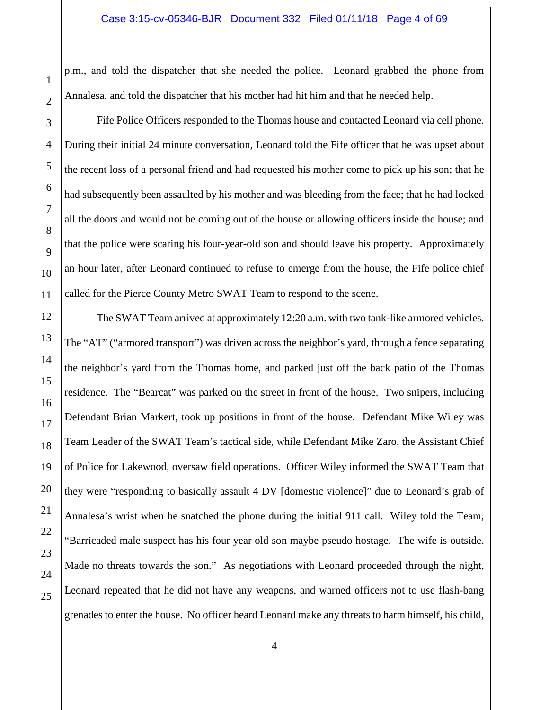p.m., and told the dispatcher that she needed the police. Leonard grabbed the phone from Annalesa, and told the dispatcher that his mother had hit him and that he needed help.

1

2

3

4

5

6

7

8

9

10

11

12

13

14

15

16

17

18

19

20

21

22

23

24

25

Fife Police Officers responded to the Thomas house and contacted Leonard via cell phone. During their initial 24 minute conversation, Leonard told the Fife officer that he was upset about the recent loss of a personal friend and had requested his mother come to pick up his son; that he had subsequently been assaulted by his mother and was bleeding from the face; that he had locked all the doors and would not be coming out of the house or allowing officers inside the house; and that the police were scaring his four-year-old son and should leave his property. Approximately an hour later, after Leonard continued to refuse to emerge from the house, the Fife police chief called for the Pierce County Metro SWAT Team to respond to the scene.

The SWAT Team arrived at approximately 12:20 a.m. with two tank-like armored vehicles. The "AT" ("armored transport") was driven across the neighbor's yard, through a fence separating the neighbor's yard from the Thomas home, and parked just off the back patio of the Thomas residence. The "Bearcat" was parked on the street in front of the house. Two snipers, including Defendant Brian Markert, took up positions in front of the house. Defendant Mike Wiley was Team Leader of the SWAT Team's tactical side, while Defendant Mike Zaro, the Assistant Chief of Police for Lakewood, oversaw field operations. Officer Wiley informed the SWAT Team that they were "responding to basically assault 4 DV [domestic violence]" due to Leonard's grab of Annalesa's wrist when he snatched the phone during the initial 911 call. Wiley told the Team, "Barricaded male suspect has his four year old son maybe pseudo hostage. The wife is outside. Made no threats towards the son." As negotiations with Leonard proceeded through the night, Leonard repeated that he did not have any weapons, and warned officers not to use flash-bang grenades to enter the house. No officer heard Leonard make any threats to harm himself, his child,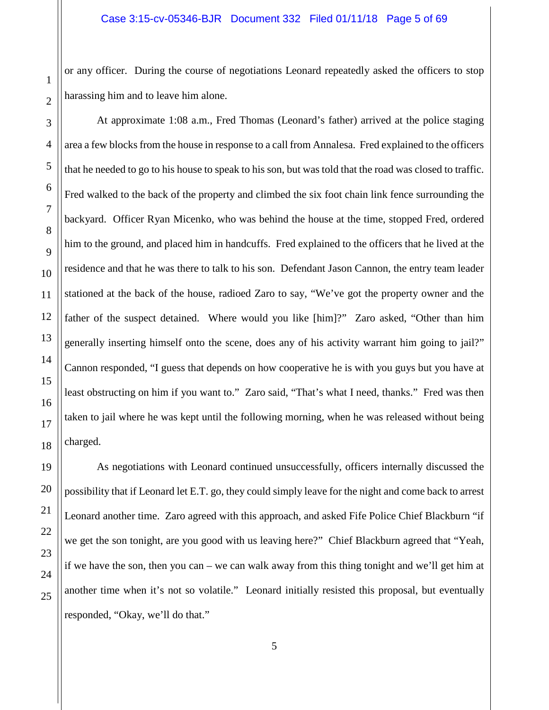or any officer. During the course of negotiations Leonard repeatedly asked the officers to stop harassing him and to leave him alone.

At approximate 1:08 a.m., Fred Thomas (Leonard's father) arrived at the police staging area a few blocks from the house in response to a call from Annalesa. Fred explained to the officers that he needed to go to his house to speak to his son, but was told that the road was closed to traffic. Fred walked to the back of the property and climbed the six foot chain link fence surrounding the backyard. Officer Ryan Micenko, who was behind the house at the time, stopped Fred, ordered him to the ground, and placed him in handcuffs. Fred explained to the officers that he lived at the residence and that he was there to talk to his son. Defendant Jason Cannon, the entry team leader stationed at the back of the house, radioed Zaro to say, "We've got the property owner and the father of the suspect detained. Where would you like [him]?" Zaro asked, "Other than him generally inserting himself onto the scene, does any of his activity warrant him going to jail?" Cannon responded, "I guess that depends on how cooperative he is with you guys but you have at least obstructing on him if you want to." Zaro said, "That's what I need, thanks." Fred was then taken to jail where he was kept until the following morning, when he was released without being charged.

As negotiations with Leonard continued unsuccessfully, officers internally discussed the possibility that if Leonard let E.T. go, they could simply leave for the night and come back to arrest Leonard another time. Zaro agreed with this approach, and asked Fife Police Chief Blackburn "if we get the son tonight, are you good with us leaving here?" Chief Blackburn agreed that "Yeah, if we have the son, then you can – we can walk away from this thing tonight and we'll get him at another time when it's not so volatile." Leonard initially resisted this proposal, but eventually responded, "Okay, we'll do that."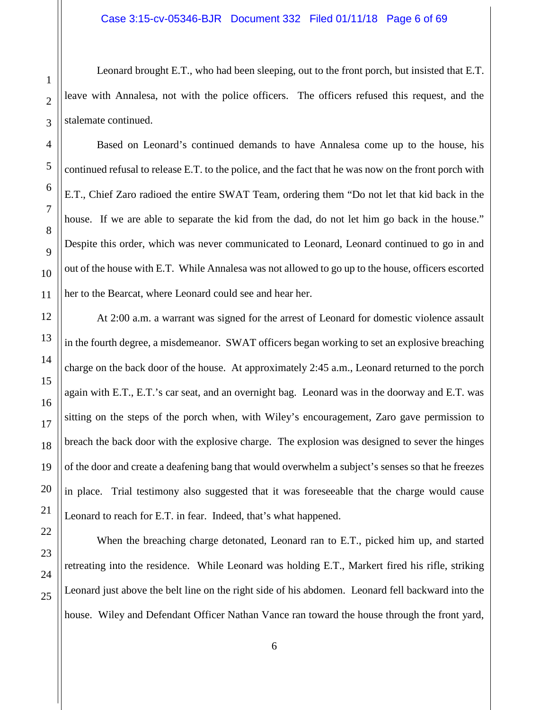Leonard brought E.T., who had been sleeping, out to the front porch, but insisted that E.T. leave with Annalesa, not with the police officers. The officers refused this request, and the stalemate continued.

Based on Leonard's continued demands to have Annalesa come up to the house, his continued refusal to release E.T. to the police, and the fact that he was now on the front porch with E.T., Chief Zaro radioed the entire SWAT Team, ordering them "Do not let that kid back in the house. If we are able to separate the kid from the dad, do not let him go back in the house." Despite this order, which was never communicated to Leonard, Leonard continued to go in and out of the house with E.T. While Annalesa was not allowed to go up to the house, officers escorted her to the Bearcat, where Leonard could see and hear her.

At 2:00 a.m. a warrant was signed for the arrest of Leonard for domestic violence assault in the fourth degree, a misdemeanor. SWAT officers began working to set an explosive breaching charge on the back door of the house. At approximately 2:45 a.m., Leonard returned to the porch again with E.T., E.T.'s car seat, and an overnight bag. Leonard was in the doorway and E.T. was sitting on the steps of the porch when, with Wiley's encouragement, Zaro gave permission to breach the back door with the explosive charge. The explosion was designed to sever the hinges of the door and create a deafening bang that would overwhelm a subject's senses so that he freezes in place. Trial testimony also suggested that it was foreseeable that the charge would cause Leonard to reach for E.T. in fear. Indeed, that's what happened.

When the breaching charge detonated, Leonard ran to E.T., picked him up, and started retreating into the residence. While Leonard was holding E.T., Markert fired his rifle, striking Leonard just above the belt line on the right side of his abdomen. Leonard fell backward into the house. Wiley and Defendant Officer Nathan Vance ran toward the house through the front yard,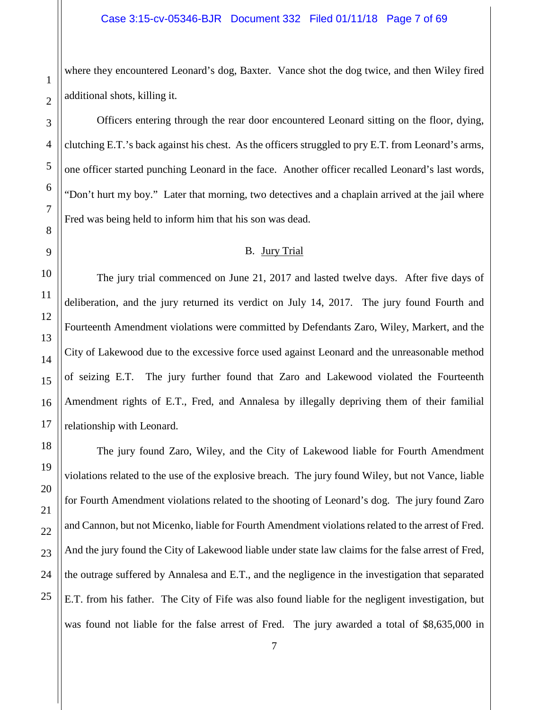where they encountered Leonard's dog, Baxter. Vance shot the dog twice, and then Wiley fired additional shots, killing it.

Officers entering through the rear door encountered Leonard sitting on the floor, dying, clutching E.T.'s back against his chest. As the officers struggled to pry E.T. from Leonard's arms, one officer started punching Leonard in the face. Another officer recalled Leonard's last words, "Don't hurt my boy." Later that morning, two detectives and a chaplain arrived at the jail where Fred was being held to inform him that his son was dead.

### B. Jury Trial

<span id="page-6-0"></span>The jury trial commenced on June 21, 2017 and lasted twelve days. After five days of deliberation, and the jury returned its verdict on July 14, 2017. The jury found Fourth and Fourteenth Amendment violations were committed by Defendants Zaro, Wiley, Markert, and the City of Lakewood due to the excessive force used against Leonard and the unreasonable method of seizing E.T. The jury further found that Zaro and Lakewood violated the Fourteenth Amendment rights of E.T., Fred, and Annalesa by illegally depriving them of their familial relationship with Leonard.

The jury found Zaro, Wiley, and the City of Lakewood liable for Fourth Amendment violations related to the use of the explosive breach. The jury found Wiley, but not Vance, liable for Fourth Amendment violations related to the shooting of Leonard's dog. The jury found Zaro and Cannon, but not Micenko, liable for Fourth Amendment violations related to the arrest of Fred. And the jury found the City of Lakewood liable under state law claims for the false arrest of Fred, the outrage suffered by Annalesa and E.T., and the negligence in the investigation that separated E.T. from his father. The City of Fife was also found liable for the negligent investigation, but was found not liable for the false arrest of Fred. The jury awarded a total of \$8,635,000 in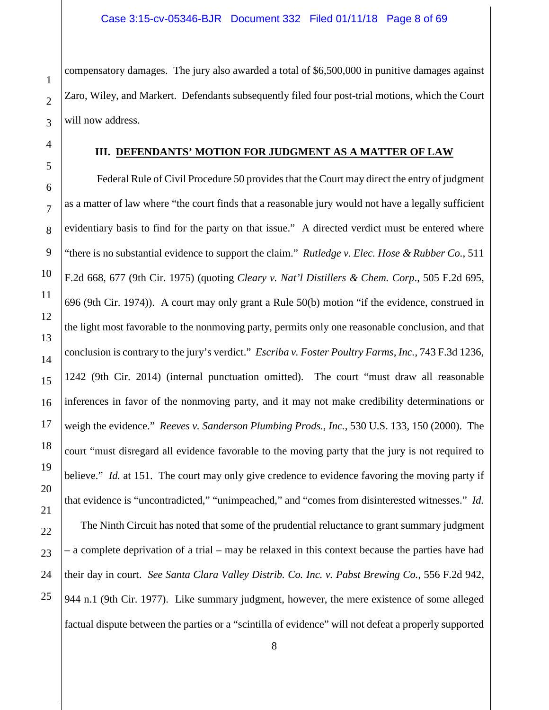compensatory damages. The jury also awarded a total of \$6,500,000 in punitive damages against Zaro, Wiley, and Markert. Defendants subsequently filed four post-trial motions, which the Court will now address.

#### **III. DEFENDANTS' MOTION FOR JUDGMENT AS A MATTER OF LAW**

<span id="page-7-0"></span>Federal Rule of Civil Procedure 50 provides that the Court may direct the entry of judgment as a matter of law where "the court finds that a reasonable jury would not have a legally sufficient evidentiary basis to find for the party on that issue." A directed verdict must be entered where "there is no substantial evidence to support the claim." *Rutledge v. Elec. Hose & Rubber Co.*, 511 F.2d 668, 677 (9th Cir. 1975) (quoting *Cleary v. Nat'l Distillers & Chem. Corp*., 505 F.2d 695, 696 (9th Cir. 1974)). A court may only grant a Rule 50(b) motion "if the evidence, construed in the light most favorable to the nonmoving party, permits only one reasonable conclusion, and that conclusion is contrary to the jury's verdict." *Escriba v. Foster Poultry Farms, Inc.*, 743 F.3d 1236, 1242 (9th Cir. 2014) (internal punctuation omitted). The court "must draw all reasonable inferences in favor of the nonmoving party, and it may not make credibility determinations or weigh the evidence." *Reeves v. Sanderson Plumbing Prods., Inc.*, 530 U.S. 133, 150 (2000). The court "must disregard all evidence favorable to the moving party that the jury is not required to believe." *Id.* at 151. The court may only give credence to evidence favoring the moving party if that evidence is "uncontradicted," "unimpeached," and "comes from disinterested witnesses." *Id.* The Ninth Circuit has noted that some of the prudential reluctance to grant summary judgment – a complete deprivation of a trial – may be relaxed in this context because the parties have had their day in court. *See Santa Clara Valley Distrib. Co. Inc. v. Pabst Brewing Co.*, 556 F.2d 942, 944 n.1 (9th Cir. 1977). Like summary judgment, however, the mere existence of some alleged

factual dispute between the parties or a "scintilla of evidence" will not defeat a properly supported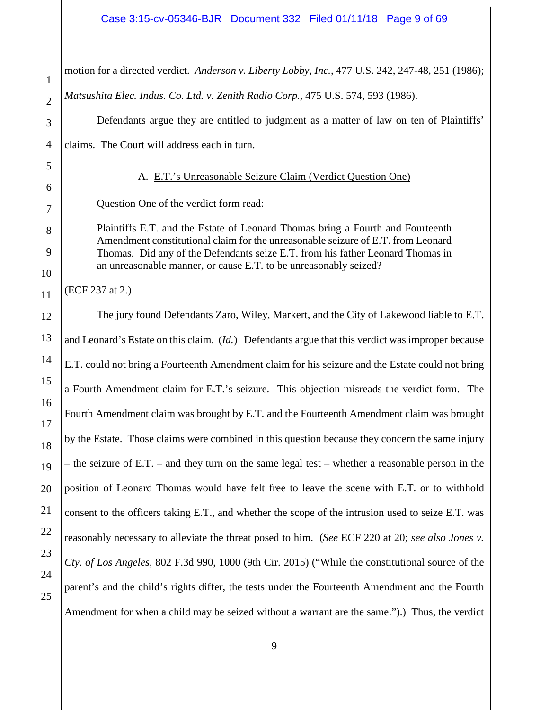#### Case 3:15-cv-05346-BJR Document 332 Filed 01/11/18 Page 9 of 69

motion for a directed verdict. *Anderson v. Liberty Lobby, Inc.*, 477 U.S. 242, 247-48, 251 (1986); *Matsushita Elec. Indus. Co. Ltd. v. Zenith Radio Corp.*, 475 U.S. 574, 593 (1986).

Defendants argue they are entitled to judgment as a matter of law on ten of Plaintiffs' claims. The Court will address each in turn.

#### A. E.T.'s Unreasonable Seizure Claim (Verdict Question One)

Question One of the verdict form read:

Plaintiffs E.T. and the Estate of Leonard Thomas bring a Fourth and Fourteenth Amendment constitutional claim for the unreasonable seizure of E.T. from Leonard Thomas. Did any of the Defendants seize E.T. from his father Leonard Thomas in an unreasonable manner, or cause E.T. to be unreasonably seized?

(ECF 237 at 2.)

1

2

3

4

<span id="page-8-0"></span>5

6

7

8

9

10

11

12

13

14

15

16

17

18

19

20

21

22

23

24

25

The jury found Defendants Zaro, Wiley, Markert, and the City of Lakewood liable to E.T. and Leonard's Estate on this claim. (*Id.*) Defendants argue that this verdict was improper because E.T. could not bring a Fourteenth Amendment claim for his seizure and the Estate could not bring a Fourth Amendment claim for E.T.'s seizure. This objection misreads the verdict form. The Fourth Amendment claim was brought by E.T. and the Fourteenth Amendment claim was brought by the Estate. Those claims were combined in this question because they concern the same injury – the seizure of E.T. – and they turn on the same legal test – whether a reasonable person in the position of Leonard Thomas would have felt free to leave the scene with E.T. or to withhold consent to the officers taking E.T., and whether the scope of the intrusion used to seize E.T. was reasonably necessary to alleviate the threat posed to him. (*See* ECF 220 at 20; *see also Jones v. Cty. of Los Angeles*, 802 F.3d 990, 1000 (9th Cir. 2015) ("While the constitutional source of the parent's and the child's rights differ, the tests under the Fourteenth Amendment and the Fourth Amendment for when a child may be seized without a warrant are the same.").) Thus, the verdict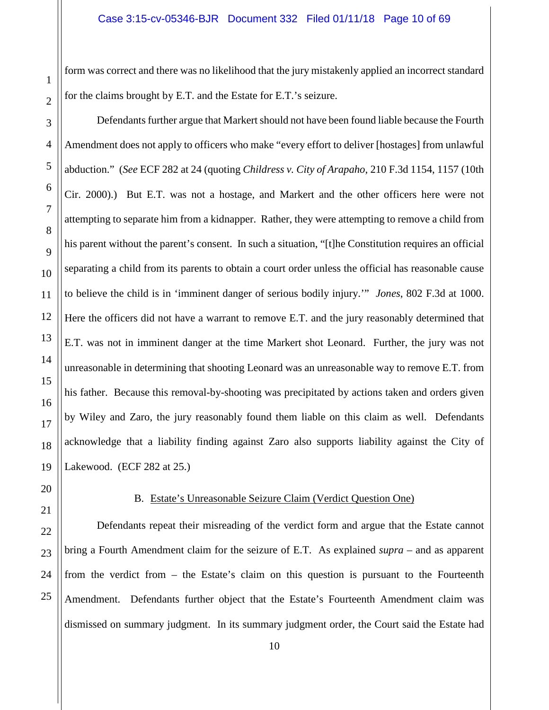form was correct and there was no likelihood that the jury mistakenly applied an incorrect standard for the claims brought by E.T. and the Estate for E.T.'s seizure.

Defendants further argue that Markert should not have been found liable because the Fourth Amendment does not apply to officers who make "every effort to deliver [hostages] from unlawful abduction." (*See* ECF 282 at 24 (quoting *Childress v. City of Arapaho*, 210 F.3d 1154, 1157 (10th Cir. 2000).) But E.T. was not a hostage, and Markert and the other officers here were not attempting to separate him from a kidnapper. Rather, they were attempting to remove a child from his parent without the parent's consent. In such a situation, "[t]he Constitution requires an official separating a child from its parents to obtain a court order unless the official has reasonable cause to believe the child is in 'imminent danger of serious bodily injury.'" *Jones*, 802 F.3d at 1000. Here the officers did not have a warrant to remove E.T. and the jury reasonably determined that E.T. was not in imminent danger at the time Markert shot Leonard. Further, the jury was not unreasonable in determining that shooting Leonard was an unreasonable way to remove E.T. from his father. Because this removal-by-shooting was precipitated by actions taken and orders given by Wiley and Zaro, the jury reasonably found them liable on this claim as well. Defendants acknowledge that a liability finding against Zaro also supports liability against the City of Lakewood. (ECF 282 at 25.)

# B. Estate's Unreasonable Seizure Claim (Verdict Question One)

<span id="page-9-0"></span>Defendants repeat their misreading of the verdict form and argue that the Estate cannot bring a Fourth Amendment claim for the seizure of E.T. As explained *supra* – and as apparent from the verdict from – the Estate's claim on this question is pursuant to the Fourteenth Amendment. Defendants further object that the Estate's Fourteenth Amendment claim was dismissed on summary judgment. In its summary judgment order, the Court said the Estate had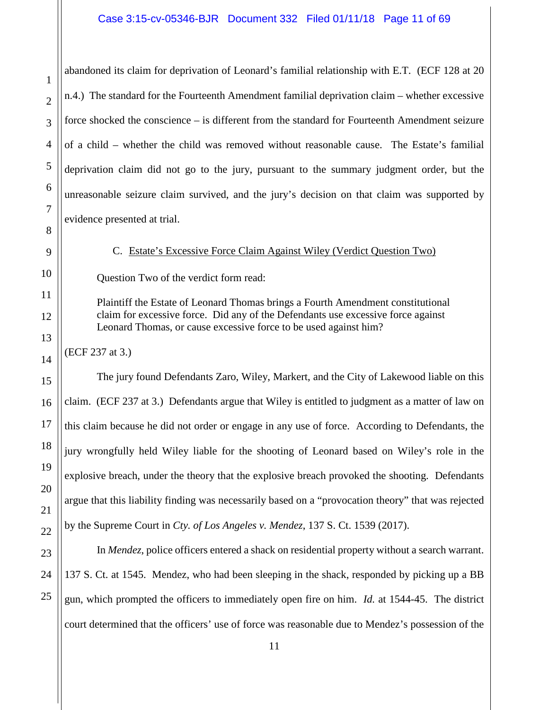abandoned its claim for deprivation of Leonard's familial relationship with E.T. (ECF 128 at 20 n.4.) The standard for the Fourteenth Amendment familial deprivation claim – whether excessive force shocked the conscience – is different from the standard for Fourteenth Amendment seizure of a child – whether the child was removed without reasonable cause. The Estate's familial deprivation claim did not go to the jury, pursuant to the summary judgment order, but the unreasonable seizure claim survived, and the jury's decision on that claim was supported by evidence presented at trial.

C. Estate's Excessive Force Claim Against Wiley (Verdict Question Two)

<span id="page-10-0"></span>Question Two of the verdict form read:

Plaintiff the Estate of Leonard Thomas brings a Fourth Amendment constitutional claim for excessive force. Did any of the Defendants use excessive force against Leonard Thomas, or cause excessive force to be used against him?

(ECF 237 at 3.)

The jury found Defendants Zaro, Wiley, Markert, and the City of Lakewood liable on this claim. (ECF 237 at 3.) Defendants argue that Wiley is entitled to judgment as a matter of law on this claim because he did not order or engage in any use of force. According to Defendants, the jury wrongfully held Wiley liable for the shooting of Leonard based on Wiley's role in the explosive breach, under the theory that the explosive breach provoked the shooting. Defendants argue that this liability finding was necessarily based on a "provocation theory" that was rejected by the Supreme Court in *Cty. of Los Angeles v. Mendez*, 137 S. Ct. 1539 (2017).

In *Mendez*, police officers entered a shack on residential property without a search warrant. 137 S. Ct. at 1545. Mendez, who had been sleeping in the shack, responded by picking up a BB gun, which prompted the officers to immediately open fire on him. *Id.* at 1544-45. The district court determined that the officers' use of force was reasonable due to Mendez's possession of the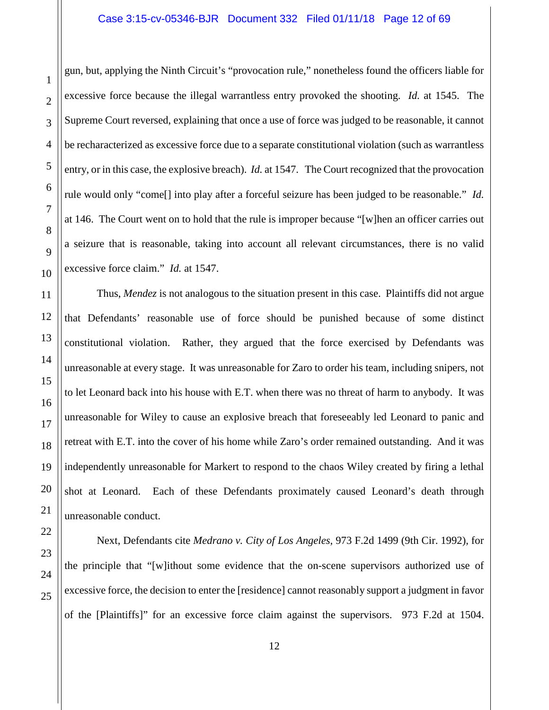gun, but, applying the Ninth Circuit's "provocation rule," nonetheless found the officers liable for excessive force because the illegal warrantless entry provoked the shooting. *Id.* at 1545. The Supreme Court reversed, explaining that once a use of force was judged to be reasonable, it cannot be recharacterized as excessive force due to a separate constitutional violation (such as warrantless entry, or in this case, the explosive breach). *Id.* at 1547. The Court recognized that the provocation rule would only "come[] into play after a forceful seizure has been judged to be reasonable." *Id.* at 146. The Court went on to hold that the rule is improper because "[w]hen an officer carries out a seizure that is reasonable, taking into account all relevant circumstances, there is no valid excessive force claim." *Id.* at 1547.

Thus, *Mendez* is not analogous to the situation present in this case. Plaintiffs did not argue that Defendants' reasonable use of force should be punished because of some distinct constitutional violation. Rather, they argued that the force exercised by Defendants was unreasonable at every stage. It was unreasonable for Zaro to order his team, including snipers, not to let Leonard back into his house with E.T. when there was no threat of harm to anybody. It was unreasonable for Wiley to cause an explosive breach that foreseeably led Leonard to panic and retreat with E.T. into the cover of his home while Zaro's order remained outstanding. And it was independently unreasonable for Markert to respond to the chaos Wiley created by firing a lethal shot at Leonard. Each of these Defendants proximately caused Leonard's death through unreasonable conduct.

Next, Defendants cite *Medrano v. City of Los Angeles*, 973 F.2d 1499 (9th Cir. 1992), for the principle that "[w]ithout some evidence that the on-scene supervisors authorized use of excessive force, the decision to enter the [residence] cannot reasonably support a judgment in favor of the [Plaintiffs]" for an excessive force claim against the supervisors. 973 F.2d at 1504.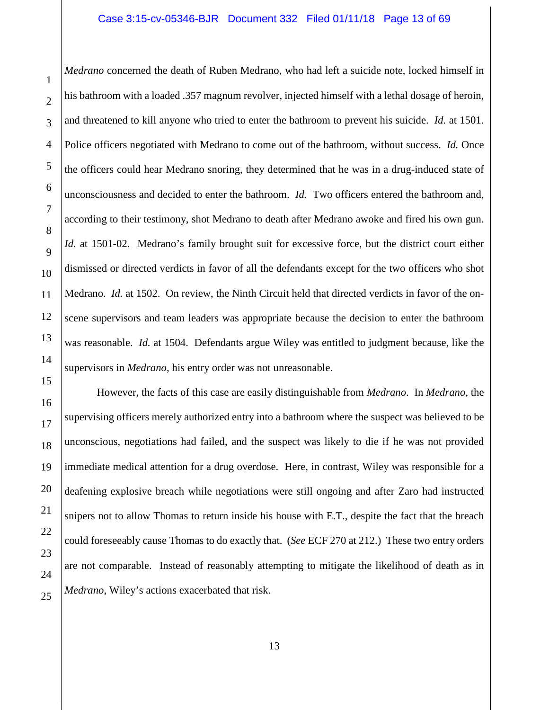#### Case 3:15-cv-05346-BJR Document 332 Filed 01/11/18 Page 13 of 69

*Medrano* concerned the death of Ruben Medrano, who had left a suicide note, locked himself in his bathroom with a loaded .357 magnum revolver, injected himself with a lethal dosage of heroin, and threatened to kill anyone who tried to enter the bathroom to prevent his suicide. *Id.* at 1501. Police officers negotiated with Medrano to come out of the bathroom, without success. *Id.* Once the officers could hear Medrano snoring, they determined that he was in a drug-induced state of unconsciousness and decided to enter the bathroom. *Id.* Two officers entered the bathroom and, according to their testimony, shot Medrano to death after Medrano awoke and fired his own gun. *Id.* at 1501-02. Medrano's family brought suit for excessive force, but the district court either dismissed or directed verdicts in favor of all the defendants except for the two officers who shot Medrano. *Id.* at 1502. On review, the Ninth Circuit held that directed verdicts in favor of the onscene supervisors and team leaders was appropriate because the decision to enter the bathroom was reasonable. *Id.* at 1504. Defendants argue Wiley was entitled to judgment because, like the supervisors in *Medrano*, his entry order was not unreasonable.

However, the facts of this case are easily distinguishable from *Medrano*. In *Medrano*, the supervising officers merely authorized entry into a bathroom where the suspect was believed to be unconscious, negotiations had failed, and the suspect was likely to die if he was not provided immediate medical attention for a drug overdose. Here, in contrast, Wiley was responsible for a deafening explosive breach while negotiations were still ongoing and after Zaro had instructed snipers not to allow Thomas to return inside his house with E.T., despite the fact that the breach could foreseeably cause Thomas to do exactly that. (*See* ECF 270 at 212.) These two entry orders are not comparable. Instead of reasonably attempting to mitigate the likelihood of death as in *Medrano*, Wiley's actions exacerbated that risk.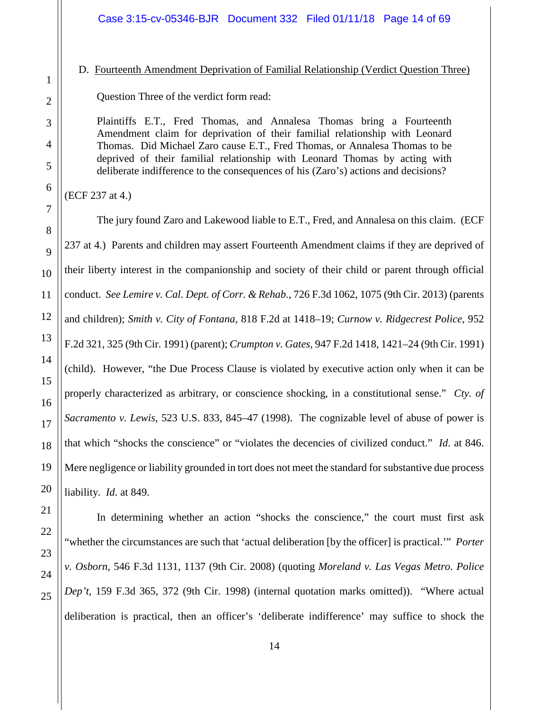# <span id="page-13-0"></span>D. Fourteenth Amendment Deprivation of Familial Relationship (Verdict Question Three)

Question Three of the verdict form read:

Plaintiffs E.T., Fred Thomas, and Annalesa Thomas bring a Fourteenth Amendment claim for deprivation of their familial relationship with Leonard Thomas. Did Michael Zaro cause E.T., Fred Thomas, or Annalesa Thomas to be deprived of their familial relationship with Leonard Thomas by acting with deliberate indifference to the consequences of his (Zaro's) actions and decisions?

(ECF 237 at 4.)

The jury found Zaro and Lakewood liable to E.T., Fred, and Annalesa on this claim. (ECF 237 at 4.) Parents and children may assert Fourteenth Amendment claims if they are deprived of their liberty interest in the companionship and society of their child or parent through official conduct. *See Lemire v. Cal. Dept. of Corr. & Rehab.*, 726 F.3d 1062, 1075 (9th Cir. 2013) (parents and children); *Smith v. City of Fontana*, 818 F.2d at 1418–19; *Curnow v. Ridgecrest Police*, 952 F.2d 321, 325 (9th Cir. 1991) (parent); *Crumpton v. Gates*, 947 F.2d 1418, 1421–24 (9th Cir. 1991) (child). However, "the Due Process Clause is violated by executive action only when it can be properly characterized as arbitrary, or conscience shocking, in a constitutional sense." *Cty. of Sacramento v. Lewis*, 523 U.S. 833, 845–47 (1998). The cognizable level of abuse of power is that which "shocks the conscience" or "violates the decencies of civilized conduct." *Id*. at 846. Mere negligence or liability grounded in tort does not meet the standard for substantive due process liability. *Id*. at 849.

In determining whether an action "shocks the conscience," the court must first ask "whether the circumstances are such that 'actual deliberation [by the officer] is practical.'" *Porter v. Osborn*, 546 F.3d 1131, 1137 (9th Cir. 2008) (quoting *Moreland v. Las Vegas Metro. Police Dep't,* 159 F.3d 365, 372 (9th Cir. 1998) (internal quotation marks omitted)). "Where actual deliberation is practical, then an officer's 'deliberate indifference' may suffice to shock the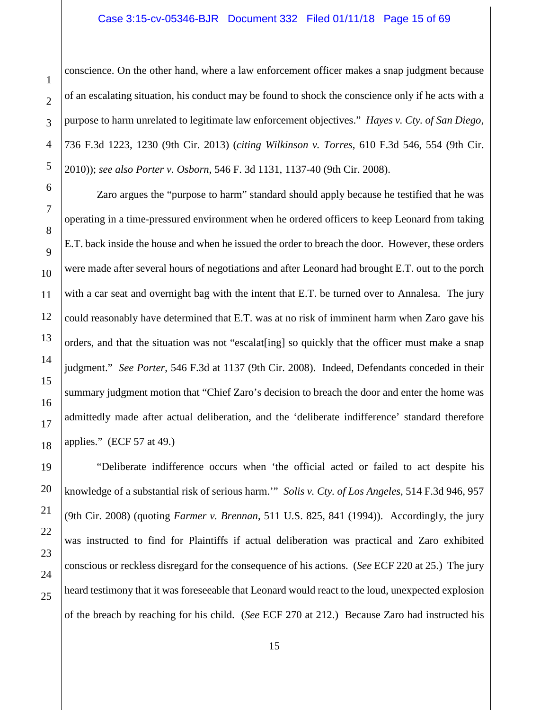conscience. On the other hand, where a law enforcement officer makes a snap judgment because of an escalating situation, his conduct may be found to shock the conscience only if he acts with a purpose to harm unrelated to legitimate law enforcement objectives." *Hayes v. Cty. of San Diego*, 736 F.3d 1223, 1230 (9th Cir. 2013) (*citing Wilkinson v. Torres*, 610 F.3d 546, 554 (9th Cir. 2010)); *see also Porter v. Osborn*, 546 F. 3d 1131, 1137-40 (9th Cir. 2008).

Zaro argues the "purpose to harm" standard should apply because he testified that he was operating in a time-pressured environment when he ordered officers to keep Leonard from taking E.T. back inside the house and when he issued the order to breach the door. However, these orders were made after several hours of negotiations and after Leonard had brought E.T. out to the porch with a car seat and overnight bag with the intent that E.T. be turned over to Annalesa. The jury could reasonably have determined that E.T. was at no risk of imminent harm when Zaro gave his orders, and that the situation was not "escalat[ing] so quickly that the officer must make a snap judgment." *See Porter*, 546 F.3d at 1137 (9th Cir. 2008). Indeed, Defendants conceded in their summary judgment motion that "Chief Zaro's decision to breach the door and enter the home was admittedly made after actual deliberation, and the 'deliberate indifference' standard therefore applies." (ECF 57 at 49.)

"Deliberate indifference occurs when 'the official acted or failed to act despite his knowledge of a substantial risk of serious harm.'" *Solis v. Cty. of Los Angeles*, 514 F.3d 946, 957 (9th Cir. 2008) (quoting *Farmer v. Brennan*, 511 U.S. 825, 841 (1994)). Accordingly, the jury was instructed to find for Plaintiffs if actual deliberation was practical and Zaro exhibited conscious or reckless disregard for the consequence of his actions. (*See* ECF 220 at 25.) The jury heard testimony that it was foreseeable that Leonard would react to the loud, unexpected explosion of the breach by reaching for his child. (*See* ECF 270 at 212.) Because Zaro had instructed his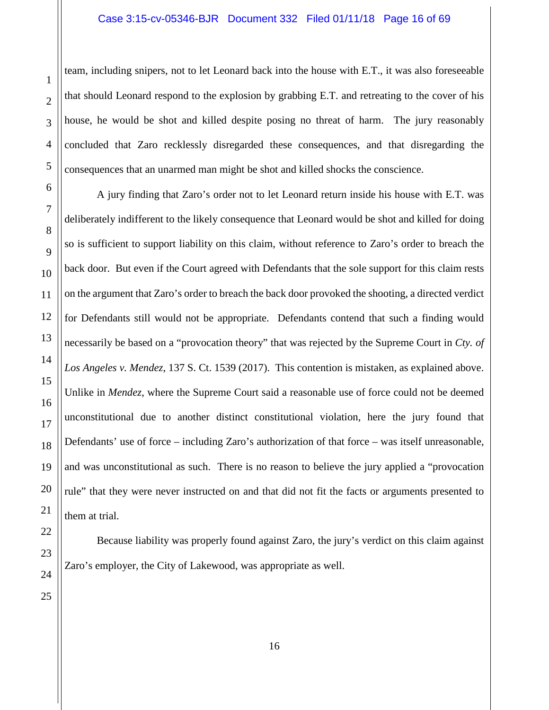team, including snipers, not to let Leonard back into the house with E.T., it was also foreseeable that should Leonard respond to the explosion by grabbing E.T. and retreating to the cover of his house, he would be shot and killed despite posing no threat of harm. The jury reasonably concluded that Zaro recklessly disregarded these consequences, and that disregarding the consequences that an unarmed man might be shot and killed shocks the conscience.

A jury finding that Zaro's order not to let Leonard return inside his house with E.T. was deliberately indifferent to the likely consequence that Leonard would be shot and killed for doing so is sufficient to support liability on this claim, without reference to Zaro's order to breach the back door. But even if the Court agreed with Defendants that the sole support for this claim rests on the argument that Zaro's order to breach the back door provoked the shooting, a directed verdict for Defendants still would not be appropriate. Defendants contend that such a finding would necessarily be based on a "provocation theory" that was rejected by the Supreme Court in *Cty. of Los Angeles v. Mendez*, 137 S. Ct. 1539 (2017). This contention is mistaken, as explained above. Unlike in *Mendez*, where the Supreme Court said a reasonable use of force could not be deemed unconstitutional due to another distinct constitutional violation, here the jury found that Defendants' use of force – including Zaro's authorization of that force – was itself unreasonable, and was unconstitutional as such. There is no reason to believe the jury applied a "provocation rule" that they were never instructed on and that did not fit the facts or arguments presented to them at trial.

Because liability was properly found against Zaro, the jury's verdict on this claim against Zaro's employer, the City of Lakewood, was appropriate as well.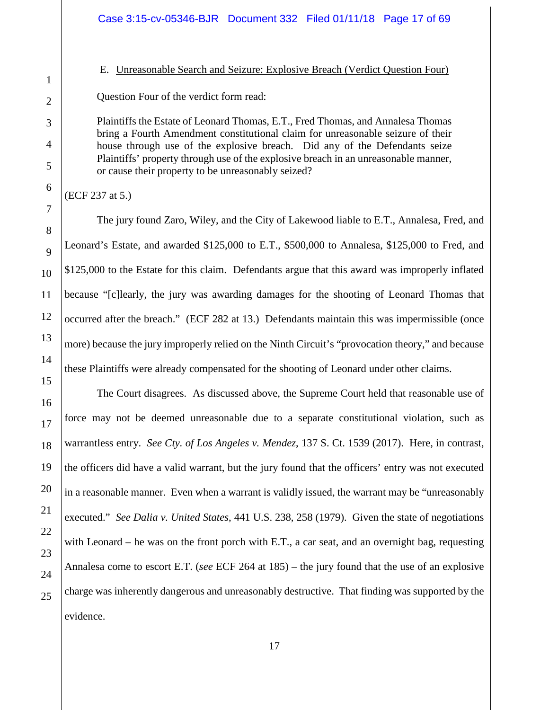#### <span id="page-16-0"></span>E. Unreasonable Search and Seizure: Explosive Breach (Verdict Question Four)

Question Four of the verdict form read:

Plaintiffs the Estate of Leonard Thomas, E.T., Fred Thomas, and Annalesa Thomas bring a Fourth Amendment constitutional claim for unreasonable seizure of their house through use of the explosive breach. Did any of the Defendants seize Plaintiffs' property through use of the explosive breach in an unreasonable manner, or cause their property to be unreasonably seized?

(ECF 237 at 5.)

The jury found Zaro, Wiley, and the City of Lakewood liable to E.T., Annalesa, Fred, and Leonard's Estate, and awarded \$125,000 to E.T., \$500,000 to Annalesa, \$125,000 to Fred, and \$125,000 to the Estate for this claim. Defendants argue that this award was improperly inflated because "[c]learly, the jury was awarding damages for the shooting of Leonard Thomas that occurred after the breach." (ECF 282 at 13.) Defendants maintain this was impermissible (once more) because the jury improperly relied on the Ninth Circuit's "provocation theory," and because these Plaintiffs were already compensated for the shooting of Leonard under other claims.

The Court disagrees. As discussed above, the Supreme Court held that reasonable use of force may not be deemed unreasonable due to a separate constitutional violation, such as warrantless entry. *See Cty. of Los Angeles v. Mendez*, 137 S. Ct. 1539 (2017). Here, in contrast, the officers did have a valid warrant, but the jury found that the officers' entry was not executed in a reasonable manner. Even when a warrant is validly issued, the warrant may be "unreasonably executed." *See Dalia v. United States*, 441 U.S. 238, 258 (1979). Given the state of negotiations with Leonard – he was on the front porch with E.T., a car seat, and an overnight bag, requesting Annalesa come to escort E.T. (*see* ECF 264 at 185) – the jury found that the use of an explosive charge was inherently dangerous and unreasonably destructive. That finding was supported by the evidence.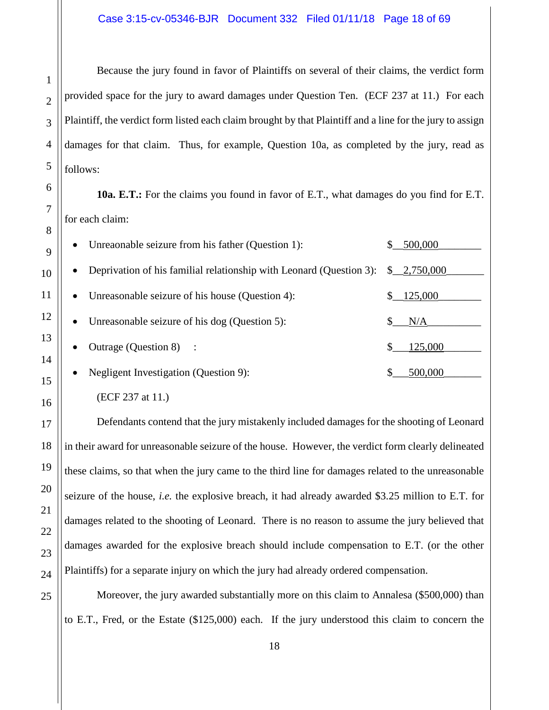Because the jury found in favor of Plaintiffs on several of their claims, the verdict form provided space for the jury to award damages under Question Ten. (ECF 237 at 11.) For each Plaintiff, the verdict form listed each claim brought by that Plaintiff and a line for the jury to assign damages for that claim. Thus, for example, Question 10a, as completed by the jury, read as follows:

**10a. E.T.:** For the claims you found in favor of E.T., what damages do you find for E.T. for each claim:

| Unreaonable seizure from his father (Question 1):<br>$\bullet$                                             | 500,000 |
|------------------------------------------------------------------------------------------------------------|---------|
| Deprivation of his familial relationship with Leonard (Question 3): $\frac{1}{2}$ , 2,750,000<br>$\bullet$ |         |
| Unreasonable seizure of his house (Question 4):<br>$\bullet$                                               | 125,000 |
| Unreasonable seizure of his dog (Question 5):<br>$\bullet$                                                 | N/A     |
| Outrage (Question 8) :<br>$\bullet$                                                                        | 125,000 |
| Negligent Investigation (Question 9):<br>$\bullet$                                                         | 500,000 |

(ECF 237 at 11.)

Defendants contend that the jury mistakenly included damages for the shooting of Leonard in their award for unreasonable seizure of the house. However, the verdict form clearly delineated these claims, so that when the jury came to the third line for damages related to the unreasonable seizure of the house, *i.e.* the explosive breach, it had already awarded \$3.25 million to E.T. for damages related to the shooting of Leonard. There is no reason to assume the jury believed that damages awarded for the explosive breach should include compensation to E.T. (or the other Plaintiffs) for a separate injury on which the jury had already ordered compensation.

Moreover, the jury awarded substantially more on this claim to Annalesa (\$500,000) than to E.T., Fred, or the Estate (\$125,000) each. If the jury understood this claim to concern the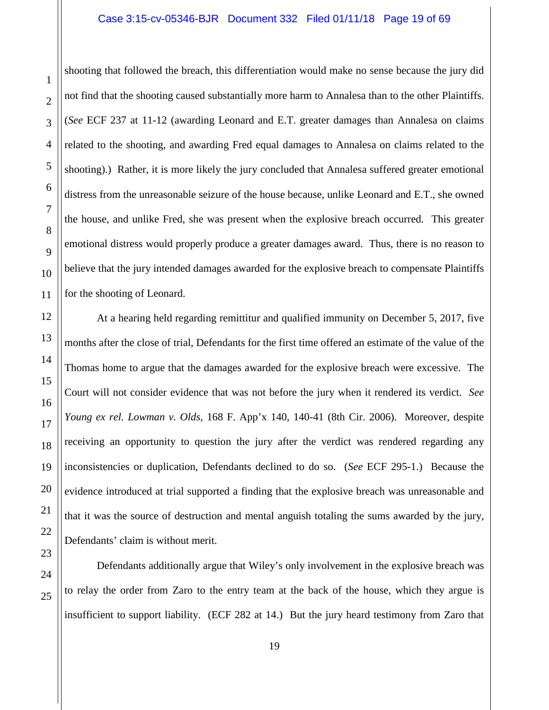#### Case 3:15-cv-05346-BJR Document 332 Filed 01/11/18 Page 19 of 69

shooting that followed the breach, this differentiation would make no sense because the jury did not find that the shooting caused substantially more harm to Annalesa than to the other Plaintiffs. (*See* ECF 237 at 11-12 (awarding Leonard and E.T. greater damages than Annalesa on claims related to the shooting, and awarding Fred equal damages to Annalesa on claims related to the shooting).) Rather, it is more likely the jury concluded that Annalesa suffered greater emotional distress from the unreasonable seizure of the house because, unlike Leonard and E.T., she owned the house, and unlike Fred, she was present when the explosive breach occurred. This greater emotional distress would properly produce a greater damages award. Thus, there is no reason to believe that the jury intended damages awarded for the explosive breach to compensate Plaintiffs for the shooting of Leonard.

At a hearing held regarding remittitur and qualified immunity on December 5, 2017, five months after the close of trial, Defendants for the first time offered an estimate of the value of the Thomas home to argue that the damages awarded for the explosive breach were excessive. The Court will not consider evidence that was not before the jury when it rendered its verdict. *See Young ex rel. Lowman v. Olds*, 168 F. App'x 140, 140-41 (8th Cir. 2006). Moreover, despite receiving an opportunity to question the jury after the verdict was rendered regarding any inconsistencies or duplication, Defendants declined to do so. (*See* ECF 295-1.) Because the evidence introduced at trial supported a finding that the explosive breach was unreasonable and that it was the source of destruction and mental anguish totaling the sums awarded by the jury, Defendants' claim is without merit.

Defendants additionally argue that Wiley's only involvement in the explosive breach was to relay the order from Zaro to the entry team at the back of the house, which they argue is insufficient to support liability. (ECF 282 at 14.) But the jury heard testimony from Zaro that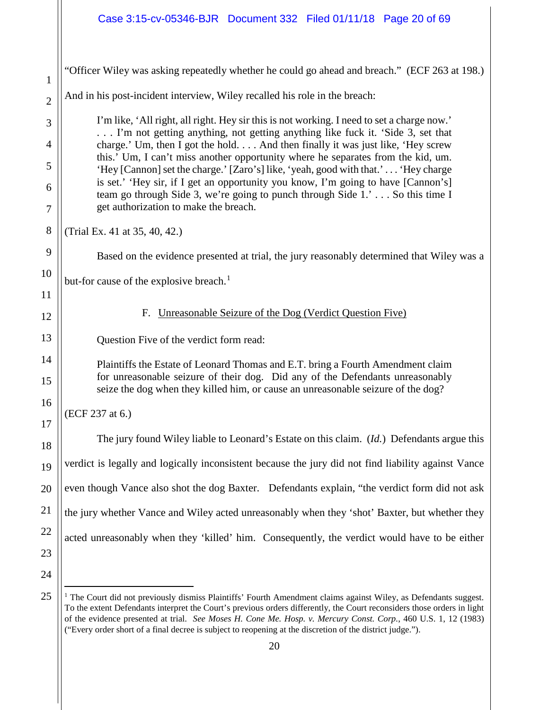<span id="page-19-0"></span>

| 1              | "Officer Wiley was asking repeatedly whether he could go ahead and breach." (ECF 263 at 198.)                                                                                                              |
|----------------|------------------------------------------------------------------------------------------------------------------------------------------------------------------------------------------------------------|
| $\overline{2}$ | And in his post-incident interview, Wiley recalled his role in the breach:                                                                                                                                 |
| 3              | I'm like, 'All right, all right. Hey sir this is not working. I need to set a charge now.'<br>I'm not getting anything, not getting anything like fuck it. 'Side 3, set that                               |
| $\overline{4}$ | charge.' Um, then I got the hold And then finally it was just like, 'Hey screw<br>this.' Um, I can't miss another opportunity where he separates from the kid, um.                                         |
| 5              | 'Hey [Cannon] set the charge.' [Zaro's] like, 'yeah, good with that.' 'Hey charge                                                                                                                          |
| 6<br>7         | is set.' 'Hey sir, if I get an opportunity you know, I'm going to have [Cannon's]<br>team go through Side 3, we're going to punch through Side 1.' So this time I<br>get authorization to make the breach. |
| 8              | (Trial Ex. 41 at 35, 40, 42.)                                                                                                                                                                              |
| 9              | Based on the evidence presented at trial, the jury reasonably determined that Wiley was a                                                                                                                  |
| 10             | but-for cause of the explosive breach. <sup>1</sup>                                                                                                                                                        |
| 11             |                                                                                                                                                                                                            |
| 12             | Unreasonable Seizure of the Dog (Verdict Question Five)<br>F.                                                                                                                                              |
| 13             | Question Five of the verdict form read:                                                                                                                                                                    |
| 14             | Plaintiffs the Estate of Leonard Thomas and E.T. bring a Fourth Amendment claim                                                                                                                            |
| 15             | for unreasonable seizure of their dog. Did any of the Defendants unreasonably<br>seize the dog when they killed him, or cause an unreasonable seizure of the dog?                                          |
| 16             | (ECF 237 at 6.)                                                                                                                                                                                            |
| 17<br>18       | The jury found Wiley liable to Leonard's Estate on this claim. ( <i>Id.</i> ) Defendants argue this                                                                                                        |
| 19             | verdict is legally and logically inconsistent because the jury did not find liability against Vance                                                                                                        |
| 20             | even though Vance also shot the dog Baxter. Defendants explain, "the verdict form did not ask                                                                                                              |
| 21             | the jury whether Vance and Wiley acted unreasonably when they 'shot' Baxter, but whether they                                                                                                              |
| 22             | acted unreasonably when they 'killed' him. Consequently, the verdict would have to be either                                                                                                               |
| 23             |                                                                                                                                                                                                            |
| 24             |                                                                                                                                                                                                            |
| 25             | <sup>1</sup> The Court did not previously dismiss Plaintiffs' Fourth Amendment claims against Wiley, as Defendants suggest.                                                                                |

<span id="page-19-1"></span><sup>&</sup>lt;sup>1</sup> The Court did not previously dismiss Plaintiffs' Fourth Amendment claims against Wiley, as Defendants suggest. To the extent Defendants interpret the Court's previous orders differently, the Court reconsiders those orders in light of the evidence presented at trial. *See Moses H. Cone Me. Hosp. v. Mercury Const. Corp.*, 460 U.S. 1, 12 (1983) ("Every order short of a final decree is subject to reopening at the discretion of the district judge.").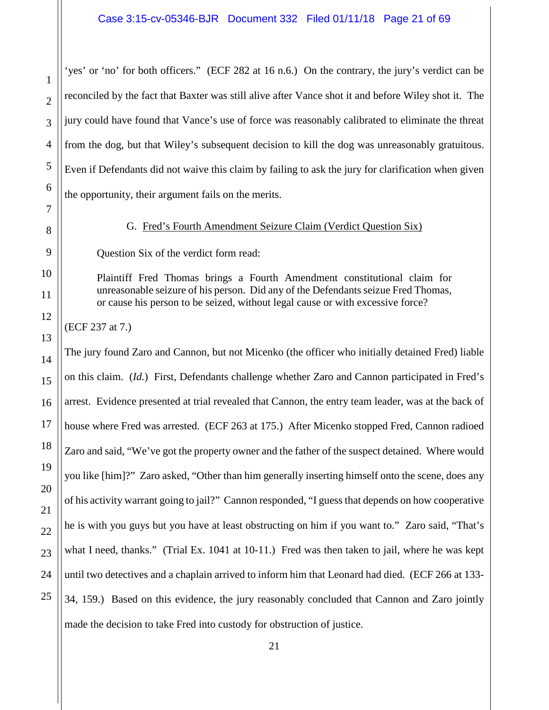'yes' or 'no' for both officers." (ECF 282 at 16 n.6.) On the contrary, the jury's verdict can be reconciled by the fact that Baxter was still alive after Vance shot it and before Wiley shot it. The jury could have found that Vance's use of force was reasonably calibrated to eliminate the threat from the dog, but that Wiley's subsequent decision to kill the dog was unreasonably gratuitous. Even if Defendants did not waive this claim by failing to ask the jury for clarification when given the opportunity, their argument fails on the merits.

# G. Fred's Fourth Amendment Seizure Claim (Verdict Question Six)

<span id="page-20-0"></span>Question Six of the verdict form read:

Plaintiff Fred Thomas brings a Fourth Amendment constitutional claim for unreasonable seizure of his person. Did any of the Defendants seizue Fred Thomas, or cause his person to be seized, without legal cause or with excessive force?

(ECF 237 at 7.)

The jury found Zaro and Cannon, but not Micenko (the officer who initially detained Fred) liable on this claim. (*Id.*) First, Defendants challenge whether Zaro and Cannon participated in Fred's arrest. Evidence presented at trial revealed that Cannon, the entry team leader, was at the back of house where Fred was arrested. (ECF 263 at 175.) After Micenko stopped Fred, Cannon radioed Zaro and said, "We've got the property owner and the father of the suspect detained. Where would you like [him]?" Zaro asked, "Other than him generally inserting himself onto the scene, does any of his activity warrant going to jail?" Cannon responded, "I guess that depends on how cooperative he is with you guys but you have at least obstructing on him if you want to." Zaro said, "That's what I need, thanks." (Trial Ex. 1041 at 10-11.) Fred was then taken to jail, where he was kept until two detectives and a chaplain arrived to inform him that Leonard had died. (ECF 266 at 133- 34, 159.) Based on this evidence, the jury reasonably concluded that Cannon and Zaro jointly made the decision to take Fred into custody for obstruction of justice.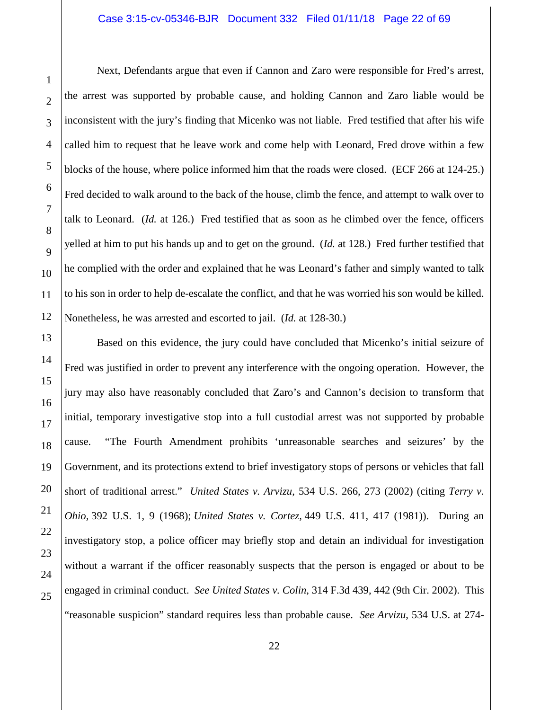Next, Defendants argue that even if Cannon and Zaro were responsible for Fred's arrest, the arrest was supported by probable cause, and holding Cannon and Zaro liable would be inconsistent with the jury's finding that Micenko was not liable. Fred testified that after his wife called him to request that he leave work and come help with Leonard, Fred drove within a few blocks of the house, where police informed him that the roads were closed. (ECF 266 at 124-25.) Fred decided to walk around to the back of the house, climb the fence, and attempt to walk over to talk to Leonard. (*Id.* at 126.) Fred testified that as soon as he climbed over the fence, officers yelled at him to put his hands up and to get on the ground. (*Id.* at 128.) Fred further testified that he complied with the order and explained that he was Leonard's father and simply wanted to talk to his son in order to help de-escalate the conflict, and that he was worried his son would be killed. Nonetheless, he was arrested and escorted to jail. (*Id.* at 128-30.)

Based on this evidence, the jury could have concluded that Micenko's initial seizure of Fred was justified in order to prevent any interference with the ongoing operation. However, the jury may also have reasonably concluded that Zaro's and Cannon's decision to transform that initial, temporary investigative stop into a full custodial arrest was not supported by probable cause. "The Fourth Amendment prohibits 'unreasonable searches and seizures' by the Government, and its protections extend to brief investigatory stops of persons or vehicles that fall short of traditional arrest." *United States v. Arvizu*, 534 U.S. 266, 273 (2002) (citing *Terry v. Ohio,* 392 U.S. 1, 9 (1968); *United States v. Cortez,* 449 U.S. 411, 417 (1981)). During an investigatory stop, a police officer may briefly stop and detain an individual for investigation without a warrant if the officer reasonably suspects that the person is engaged or about to be engaged in criminal conduct. *See United States v. Colin*, 314 F.3d 439, 442 (9th Cir. 2002). This "reasonable suspicion" standard requires less than probable cause. *See Arvizu*, 534 U.S. at 274-

1

2

3

4

5

6

7

8

9

10

11

12

13

14

15

16

17

18

19

20

21

22

23

24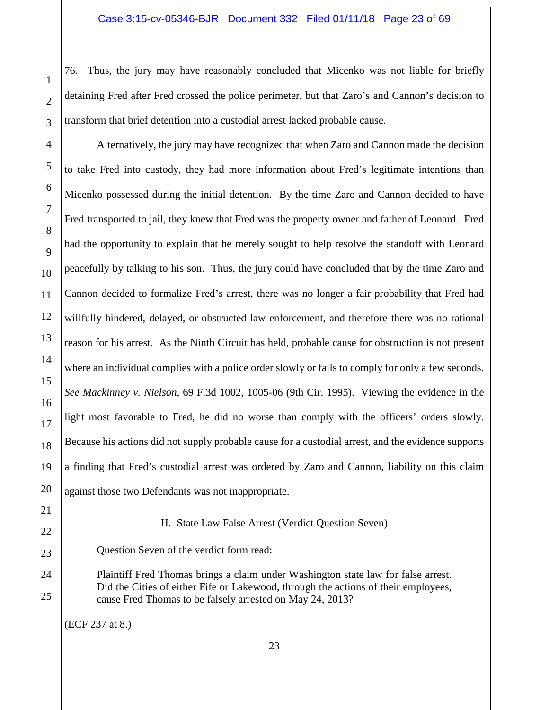76. Thus, the jury may have reasonably concluded that Micenko was not liable for briefly detaining Fred after Fred crossed the police perimeter, but that Zaro's and Cannon's decision to transform that brief detention into a custodial arrest lacked probable cause.

Alternatively, the jury may have recognized that when Zaro and Cannon made the decision to take Fred into custody, they had more information about Fred's legitimate intentions than Micenko possessed during the initial detention. By the time Zaro and Cannon decided to have Fred transported to jail, they knew that Fred was the property owner and father of Leonard. Fred had the opportunity to explain that he merely sought to help resolve the standoff with Leonard peacefully by talking to his son. Thus, the jury could have concluded that by the time Zaro and Cannon decided to formalize Fred's arrest, there was no longer a fair probability that Fred had willfully hindered, delayed, or obstructed law enforcement, and therefore there was no rational reason for his arrest. As the Ninth Circuit has held, probable cause for obstruction is not present where an individual complies with a police order slowly or fails to comply for only a few seconds. *See Mackinney v. Nielson*, 69 F.3d 1002, 1005-06 (9th Cir. 1995). Viewing the evidence in the light most favorable to Fred, he did no worse than comply with the officers' orders slowly. Because his actions did not supply probable cause for a custodial arrest, and the evidence supports a finding that Fred's custodial arrest was ordered by Zaro and Cannon, liability on this claim against those two Defendants was not inappropriate.

# H. State Law False Arrest (Verdict Question Seven)

<span id="page-22-0"></span>Question Seven of the verdict form read:

Plaintiff Fred Thomas brings a claim under Washington state law for false arrest. Did the Cities of either Fife or Lakewood, through the actions of their employees, cause Fred Thomas to be falsely arrested on May 24, 2013?

(ECF 237 at 8.)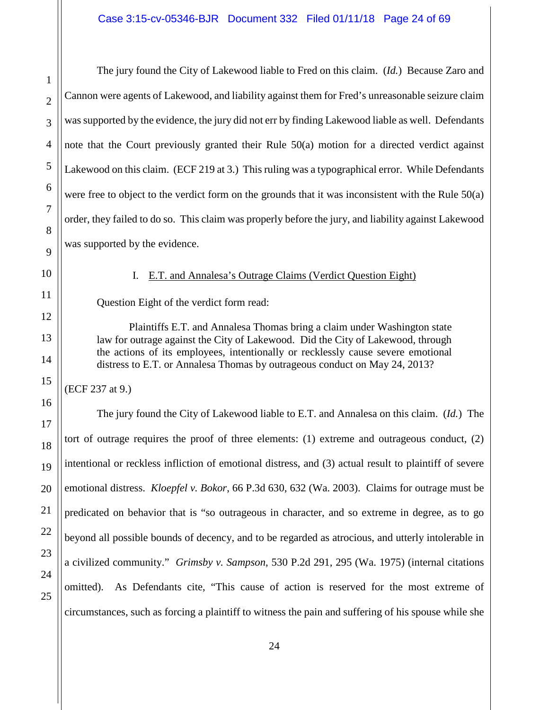The jury found the City of Lakewood liable to Fred on this claim. (*Id.*) Because Zaro and Cannon were agents of Lakewood, and liability against them for Fred's unreasonable seizure claim was supported by the evidence, the jury did not err by finding Lakewood liable as well. Defendants note that the Court previously granted their Rule 50(a) motion for a directed verdict against Lakewood on this claim. (ECF 219 at 3.) This ruling was a typographical error. While Defendants were free to object to the verdict form on the grounds that it was inconsistent with the Rule 50(a) order, they failed to do so. This claim was properly before the jury, and liability against Lakewood was supported by the evidence.

<span id="page-23-0"></span>

1

2

3

4

5

6

7

8

9

10

11

12

13

14

15

16

17

18

19

20

21

22

23

24

25

### I. E.T. and Annalesa's Outrage Claims (Verdict Question Eight)

Question Eight of the verdict form read:

Plaintiffs E.T. and Annalesa Thomas bring a claim under Washington state law for outrage against the City of Lakewood. Did the City of Lakewood, through the actions of its employees, intentionally or recklessly cause severe emotional distress to E.T. or Annalesa Thomas by outrageous conduct on May 24, 2013?

(ECF 237 at 9.)

The jury found the City of Lakewood liable to E.T. and Annalesa on this claim. (*Id.*) The tort of outrage requires the proof of three elements: (1) extreme and outrageous conduct, (2) intentional or reckless infliction of emotional distress, and (3) actual result to plaintiff of severe emotional distress. *Kloepfel v. Bokor*, 66 P.3d 630, 632 (Wa. 2003). Claims for outrage must be predicated on behavior that is "so outrageous in character, and so extreme in degree, as to go beyond all possible bounds of decency, and to be regarded as atrocious, and utterly intolerable in a civilized community." *Grimsby v. Sampson*, 530 P.2d 291, 295 (Wa. 1975) (internal citations omitted). As Defendants cite, "This cause of action is reserved for the most extreme of circumstances, such as forcing a plaintiff to witness the pain and suffering of his spouse while she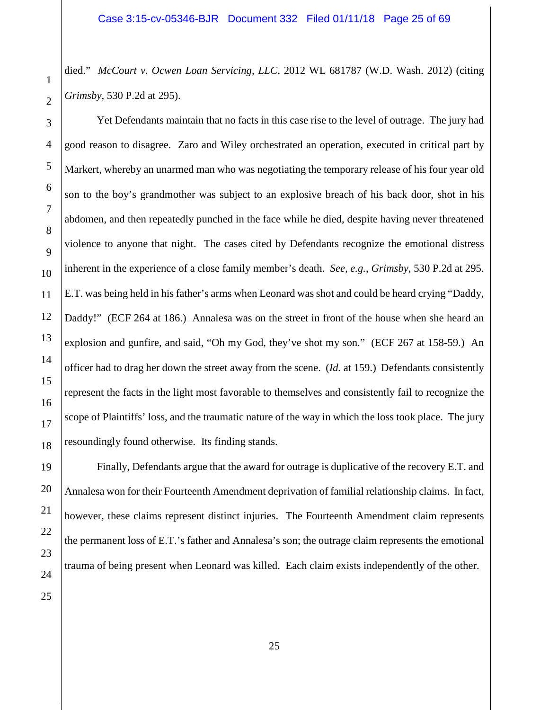died." *McCourt v. Ocwen Loan Servicing, LLC*, 2012 WL 681787 (W.D. Wash. 2012) (citing *Grimsby*, 530 P.2d at 295).

Yet Defendants maintain that no facts in this case rise to the level of outrage. The jury had

25

good reason to disagree. Zaro and Wiley orchestrated an operation, executed in critical part by Markert, whereby an unarmed man who was negotiating the temporary release of his four year old son to the boy's grandmother was subject to an explosive breach of his back door, shot in his abdomen, and then repeatedly punched in the face while he died, despite having never threatened violence to anyone that night. The cases cited by Defendants recognize the emotional distress inherent in the experience of a close family member's death. *See, e.g.*, *Grimsby*, 530 P.2d at 295. E.T. was being held in his father's arms when Leonard was shot and could be heard crying "Daddy, Daddy!" (ECF 264 at 186.) Annalesa was on the street in front of the house when she heard an explosion and gunfire, and said, "Oh my God, they've shot my son." (ECF 267 at 158-59.) An officer had to drag her down the street away from the scene. (*Id.* at 159.) Defendants consistently represent the facts in the light most favorable to themselves and consistently fail to recognize the scope of Plaintiffs' loss, and the traumatic nature of the way in which the loss took place. The jury resoundingly found otherwise. Its finding stands.

Finally, Defendants argue that the award for outrage is duplicative of the recovery E.T. and Annalesa won for their Fourteenth Amendment deprivation of familial relationship claims. In fact, however, these claims represent distinct injuries. The Fourteenth Amendment claim represents the permanent loss of E.T.'s father and Annalesa's son; the outrage claim represents the emotional trauma of being present when Leonard was killed. Each claim exists independently of the other.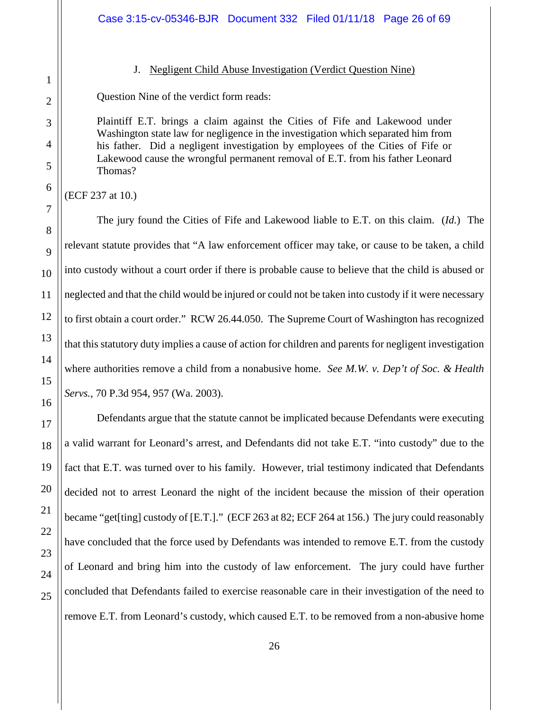<span id="page-25-0"></span>

1

2

3

4

## J. Negligent Child Abuse Investigation (Verdict Question Nine)

Question Nine of the verdict form reads:

Plaintiff E.T. brings a claim against the Cities of Fife and Lakewood under Washington state law for negligence in the investigation which separated him from his father. Did a negligent investigation by employees of the Cities of Fife or Lakewood cause the wrongful permanent removal of E.T. from his father Leonard Thomas?

(ECF 237 at 10.)

The jury found the Cities of Fife and Lakewood liable to E.T. on this claim. (*Id.*) The relevant statute provides that "A law enforcement officer may take, or cause to be taken, a child into custody without a court order if there is probable cause to believe that the child is abused or neglected and that the child would be injured or could not be taken into custody if it were necessary to first obtain a court order." RCW 26.44.050. The Supreme Court of Washington has recognized that this statutory duty implies a cause of action for children and parents for negligent investigation where authorities remove a child from a nonabusive home. *See M.W. v. Dep't of Soc. & Health Servs.*, 70 P.3d 954, 957 (Wa. 2003).

Defendants argue that the statute cannot be implicated because Defendants were executing a valid warrant for Leonard's arrest, and Defendants did not take E.T. "into custody" due to the fact that E.T. was turned over to his family. However, trial testimony indicated that Defendants decided not to arrest Leonard the night of the incident because the mission of their operation became "get[ting] custody of [E.T.]." (ECF 263 at 82; ECF 264 at 156.) The jury could reasonably have concluded that the force used by Defendants was intended to remove E.T. from the custody of Leonard and bring him into the custody of law enforcement. The jury could have further concluded that Defendants failed to exercise reasonable care in their investigation of the need to remove E.T. from Leonard's custody, which caused E.T. to be removed from a non-abusive home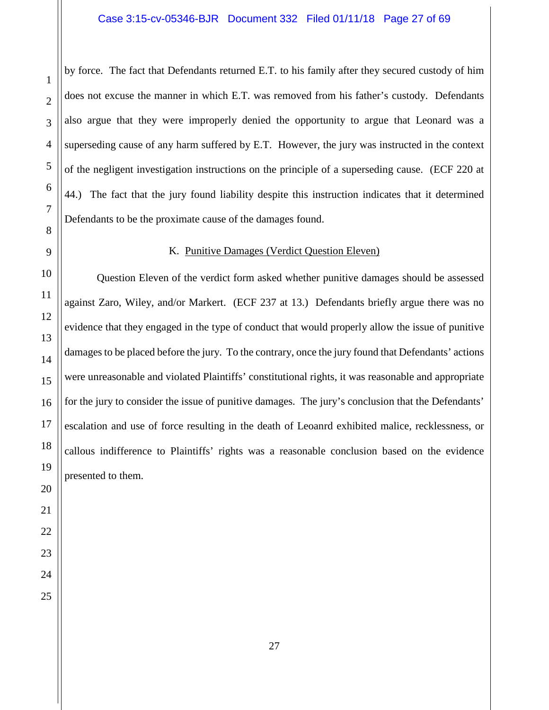by force. The fact that Defendants returned E.T. to his family after they secured custody of him does not excuse the manner in which E.T. was removed from his father's custody. Defendants also argue that they were improperly denied the opportunity to argue that Leonard was a superseding cause of any harm suffered by E.T. However, the jury was instructed in the context of the negligent investigation instructions on the principle of a superseding cause. (ECF 220 at 44.) The fact that the jury found liability despite this instruction indicates that it determined Defendants to be the proximate cause of the damages found.

# K. Punitive Damages (Verdict Question Eleven)

<span id="page-26-0"></span>Question Eleven of the verdict form asked whether punitive damages should be assessed against Zaro, Wiley, and/or Markert. (ECF 237 at 13.) Defendants briefly argue there was no evidence that they engaged in the type of conduct that would properly allow the issue of punitive damages to be placed before the jury. To the contrary, once the jury found that Defendants' actions were unreasonable and violated Plaintiffs' constitutional rights, it was reasonable and appropriate for the jury to consider the issue of punitive damages. The jury's conclusion that the Defendants' escalation and use of force resulting in the death of Leoanrd exhibited malice, recklessness, or callous indifference to Plaintiffs' rights was a reasonable conclusion based on the evidence presented to them.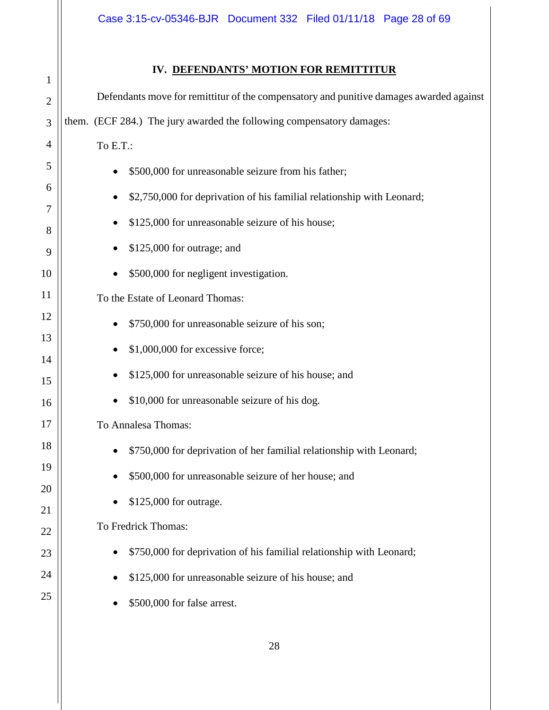|--|

<span id="page-27-0"></span>

| 1              | DEFERDARIO MOTION FOR REMITTITION                                                       |
|----------------|-----------------------------------------------------------------------------------------|
| $\overline{2}$ | Defendants move for remittitur of the compensatory and punitive damages awarded against |
| 3              | them. (ECF 284.) The jury awarded the following compensatory damages:                   |
| 4              | To E.T.:                                                                                |
| 5              | \$500,000 for unreasonable seizure from his father;                                     |
| 6              | \$2,750,000 for deprivation of his familial relationship with Leonard;                  |
| 7              | \$125,000 for unreasonable seizure of his house;                                        |
| 8<br>9         | \$125,000 for outrage; and                                                              |
| 10             | \$500,000 for negligent investigation.                                                  |
| 11             | To the Estate of Leonard Thomas:                                                        |
| 12             | \$750,000 for unreasonable seizure of his son;                                          |
| 13             | \$1,000,000 for excessive force;                                                        |
| 14<br>15       | \$125,000 for unreasonable seizure of his house; and                                    |
| 16             | \$10,000 for unreasonable seizure of his dog.                                           |
| 17             | To Annalesa Thomas:                                                                     |
| 18             | \$750,000 for deprivation of her familial relationship with Leonard;                    |
| 19             | \$500,000 for unreasonable seizure of her house; and                                    |
| 20             | \$125,000 for outrage.                                                                  |
| 21             | To Fredrick Thomas:                                                                     |
| 22             | \$750,000 for deprivation of his familial relationship with Leonard;                    |
| 23<br>24       |                                                                                         |
| 25             | \$125,000 for unreasonable seizure of his house; and                                    |
|                | \$500,000 for false arrest.                                                             |
|                |                                                                                         |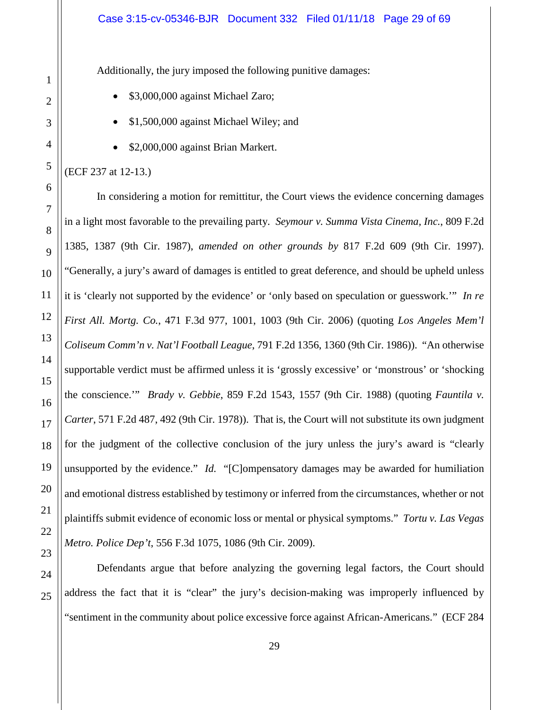Additionally, the jury imposed the following punitive damages:

- \$3,000,000 against Michael Zaro;
- \$1,500,000 against Michael Wiley; and
- \$2,000,000 against Brian Markert.

### (ECF 237 at 12-13.)

In considering a motion for remittitur, the Court views the evidence concerning damages in a light most favorable to the prevailing party. *Seymour v. Summa Vista Cinema, Inc.*, 809 F.2d 1385, 1387 (9th Cir. 1987), *amended on other grounds by* 817 F.2d 609 (9th Cir. 1997). "Generally, a jury's award of damages is entitled to great deference, and should be upheld unless it is 'clearly not supported by the evidence' or 'only based on speculation or guesswork.'" *In re First All. Mortg. Co.*, 471 F.3d 977, 1001, 1003 (9th Cir. 2006) (quoting *Los Angeles Mem'l Coliseum Comm'n v. Nat'l Football League*, 791 F.2d 1356, 1360 (9th Cir. 1986)). "An otherwise supportable verdict must be affirmed unless it is 'grossly excessive' or 'monstrous' or 'shocking the conscience.'" *Brady v. Gebbie*, 859 F.2d 1543, 1557 (9th Cir. 1988) (quoting *Fauntila v. Carter*, 571 F.2d 487, 492 (9th Cir. 1978)). That is, the Court will not substitute its own judgment for the judgment of the collective conclusion of the jury unless the jury's award is "clearly unsupported by the evidence." *Id.* "[C]ompensatory damages may be awarded for humiliation and emotional distress established by testimony or inferred from the circumstances, whether or not plaintiffs submit evidence of economic loss or mental or physical symptoms." *Tortu v. Las Vegas Metro. Police Dep't*, 556 F.3d 1075, 1086 (9th Cir. 2009).

Defendants argue that before analyzing the governing legal factors, the Court should address the fact that it is "clear" the jury's decision-making was improperly influenced by "sentiment in the community about police excessive force against African-Americans." (ECF 284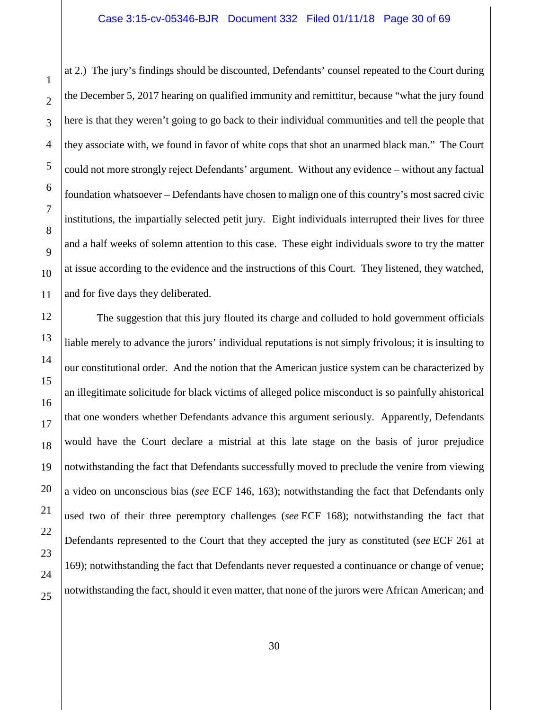1

2

3

4

5

6

7

8

9

10

11

12

13

14

15

16

17

18

19

20

21

22

23

24

25

at 2.) The jury's findings should be discounted, Defendants' counsel repeated to the Court during the December 5, 2017 hearing on qualified immunity and remittitur, because "what the jury found here is that they weren't going to go back to their individual communities and tell the people that they associate with, we found in favor of white cops that shot an unarmed black man." The Court could not more strongly reject Defendants' argument. Without any evidence – without any factual foundation whatsoever – Defendants have chosen to malign one of this country's most sacred civic institutions, the impartially selected petit jury. Eight individuals interrupted their lives for three and a half weeks of solemn attention to this case. These eight individuals swore to try the matter at issue according to the evidence and the instructions of this Court. They listened, they watched, and for five days they deliberated.

The suggestion that this jury flouted its charge and colluded to hold government officials liable merely to advance the jurors' individual reputations is not simply frivolous; it is insulting to our constitutional order. And the notion that the American justice system can be characterized by an illegitimate solicitude for black victims of alleged police misconduct is so painfully ahistorical that one wonders whether Defendants advance this argument seriously. Apparently, Defendants would have the Court declare a mistrial at this late stage on the basis of juror prejudice notwithstanding the fact that Defendants successfully moved to preclude the venire from viewing a video on unconscious bias (*see* ECF 146, 163); notwithstanding the fact that Defendants only used two of their three peremptory challenges (*see* ECF 168); notwithstanding the fact that Defendants represented to the Court that they accepted the jury as constituted (*see* ECF 261 at 169); notwithstanding the fact that Defendants never requested a continuance or change of venue; notwithstanding the fact, should it even matter, that none of the jurors were African American; and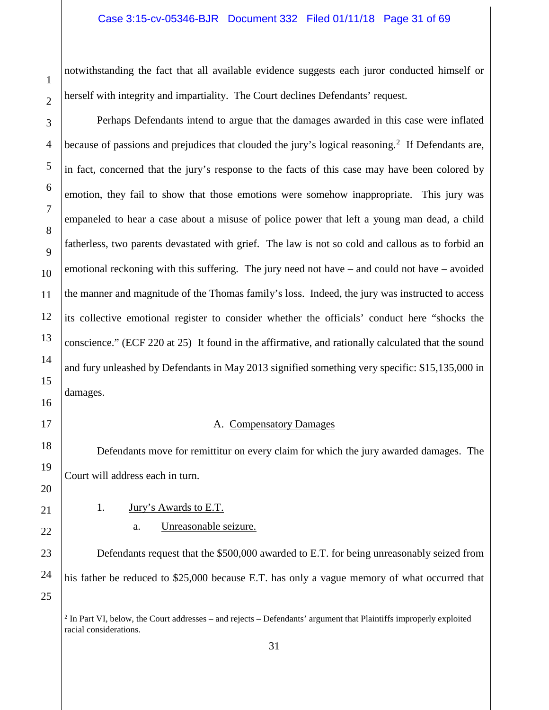notwithstanding the fact that all available evidence suggests each juror conducted himself or herself with integrity and impartiality. The Court declines Defendants' request.

Perhaps Defendants intend to argue that the damages awarded in this case were inflated because of passions and prejudices that clouded the jury's logical reasoning.<sup>[2](#page-30-2)</sup> If Defendants are, in fact, concerned that the jury's response to the facts of this case may have been colored by emotion, they fail to show that those emotions were somehow inappropriate. This jury was empaneled to hear a case about a misuse of police power that left a young man dead, a child fatherless, two parents devastated with grief. The law is not so cold and callous as to forbid an emotional reckoning with this suffering. The jury need not have – and could not have – avoided the manner and magnitude of the Thomas family's loss. Indeed, the jury was instructed to access its collective emotional register to consider whether the officials' conduct here "shocks the conscience." (ECF 220 at 25) It found in the affirmative, and rationally calculated that the sound and fury unleashed by Defendants in May 2013 signified something very specific: \$15,135,000 in damages.

# A. Compensatory Damages

<span id="page-30-0"></span>Defendants move for remittitur on every claim for which the jury awarded damages. The Court will address each in turn.

<span id="page-30-1"></span>1. Jury's Awards to E.T.

# a. Unreasonable seizure.

Defendants request that the \$500,000 awarded to E.T. for being unreasonably seized from his father be reduced to \$25,000 because E.T. has only a vague memory of what occurred that

<span id="page-30-2"></span> <sup>2</sup> In Part VI, below, the Court addresses – and rejects – Defendants' argument that Plaintiffs improperly exploited racial considerations.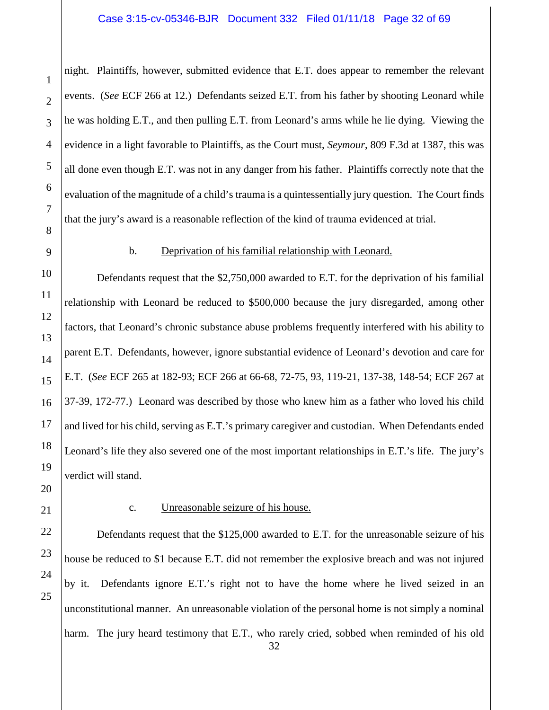night. Plaintiffs, however, submitted evidence that E.T. does appear to remember the relevant events. (*See* ECF 266 at 12.) Defendants seized E.T. from his father by shooting Leonard while he was holding E.T., and then pulling E.T. from Leonard's arms while he lie dying. Viewing the evidence in a light favorable to Plaintiffs, as the Court must, *Seymour*, 809 F.3d at 1387, this was all done even though E.T. was not in any danger from his father. Plaintiffs correctly note that the evaluation of the magnitude of a child's trauma is a quintessentially jury question. The Court finds that the jury's award is a reasonable reflection of the kind of trauma evidenced at trial.

# b. Deprivation of his familial relationship with Leonard.

Defendants request that the \$2,750,000 awarded to E.T. for the deprivation of his familial relationship with Leonard be reduced to \$500,000 because the jury disregarded, among other factors, that Leonard's chronic substance abuse problems frequently interfered with his ability to parent E.T. Defendants, however, ignore substantial evidence of Leonard's devotion and care for E.T. (*See* ECF 265 at 182-93; ECF 266 at 66-68, 72-75, 93, 119-21, 137-38, 148-54; ECF 267 at 37-39, 172-77.) Leonard was described by those who knew him as a father who loved his child and lived for his child, serving as E.T.'s primary caregiver and custodian. When Defendants ended Leonard's life they also severed one of the most important relationships in E.T.'s life. The jury's verdict will stand.

1

2

3

4

5

6

7

8

9

10

# c. Unreasonable seizure of his house.

Defendants request that the \$125,000 awarded to E.T. for the unreasonable seizure of his house be reduced to \$1 because E.T. did not remember the explosive breach and was not injured by it. Defendants ignore E.T.'s right not to have the home where he lived seized in an unconstitutional manner. An unreasonable violation of the personal home is not simply a nominal harm. The jury heard testimony that E.T., who rarely cried, sobbed when reminded of his old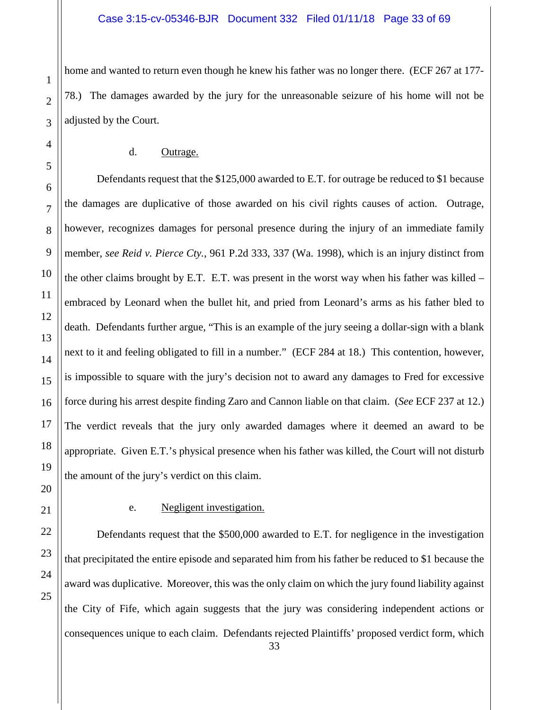home and wanted to return even though he knew his father was no longer there. (ECF 267 at 177- 78.) The damages awarded by the jury for the unreasonable seizure of his home will not be adjusted by the Court.

#### d. Outrage.

Defendants request that the \$125,000 awarded to E.T. for outrage be reduced to \$1 because the damages are duplicative of those awarded on his civil rights causes of action. Outrage, however, recognizes damages for personal presence during the injury of an immediate family member, *see Reid v. Pierce Cty.*, 961 P.2d 333, 337 (Wa. 1998), which is an injury distinct from the other claims brought by E.T. E.T. was present in the worst way when his father was killed – embraced by Leonard when the bullet hit, and pried from Leonard's arms as his father bled to death. Defendants further argue, "This is an example of the jury seeing a dollar-sign with a blank next to it and feeling obligated to fill in a number." (ECF 284 at 18.) This contention, however, is impossible to square with the jury's decision not to award any damages to Fred for excessive force during his arrest despite finding Zaro and Cannon liable on that claim. (*See* ECF 237 at 12.) The verdict reveals that the jury only awarded damages where it deemed an award to be appropriate. Given E.T.'s physical presence when his father was killed, the Court will not disturb the amount of the jury's verdict on this claim.

# e. Negligent investigation.

Defendants request that the \$500,000 awarded to E.T. for negligence in the investigation that precipitated the entire episode and separated him from his father be reduced to \$1 because the award was duplicative. Moreover, this was the only claim on which the jury found liability against the City of Fife, which again suggests that the jury was considering independent actions or consequences unique to each claim. Defendants rejected Plaintiffs' proposed verdict form, which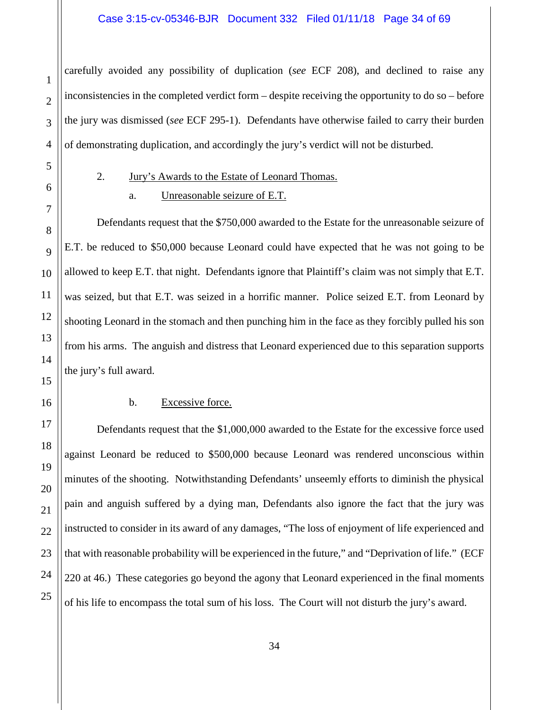carefully avoided any possibility of duplication (*see* ECF 208), and declined to raise any inconsistencies in the completed verdict form – despite receiving the opportunity to do so – before the jury was dismissed (*see* ECF 295-1). Defendants have otherwise failed to carry their burden of demonstrating duplication, and accordingly the jury's verdict will not be disturbed.

<span id="page-33-0"></span>

1

# 2. Jury's Awards to the Estate of Leonard Thomas.

# a. Unreasonable seizure of E.T.

Defendants request that the \$750,000 awarded to the Estate for the unreasonable seizure of E.T. be reduced to \$50,000 because Leonard could have expected that he was not going to be allowed to keep E.T. that night. Defendants ignore that Plaintiff's claim was not simply that E.T. was seized, but that E.T. was seized in a horrific manner. Police seized E.T. from Leonard by shooting Leonard in the stomach and then punching him in the face as they forcibly pulled his son from his arms. The anguish and distress that Leonard experienced due to this separation supports the jury's full award.

### b. Excessive force.

Defendants request that the \$1,000,000 awarded to the Estate for the excessive force used against Leonard be reduced to \$500,000 because Leonard was rendered unconscious within minutes of the shooting. Notwithstanding Defendants' unseemly efforts to diminish the physical pain and anguish suffered by a dying man, Defendants also ignore the fact that the jury was instructed to consider in its award of any damages, "The loss of enjoyment of life experienced and that with reasonable probability will be experienced in the future," and "Deprivation of life." (ECF 220 at 46.) These categories go beyond the agony that Leonard experienced in the final moments of his life to encompass the total sum of his loss. The Court will not disturb the jury's award.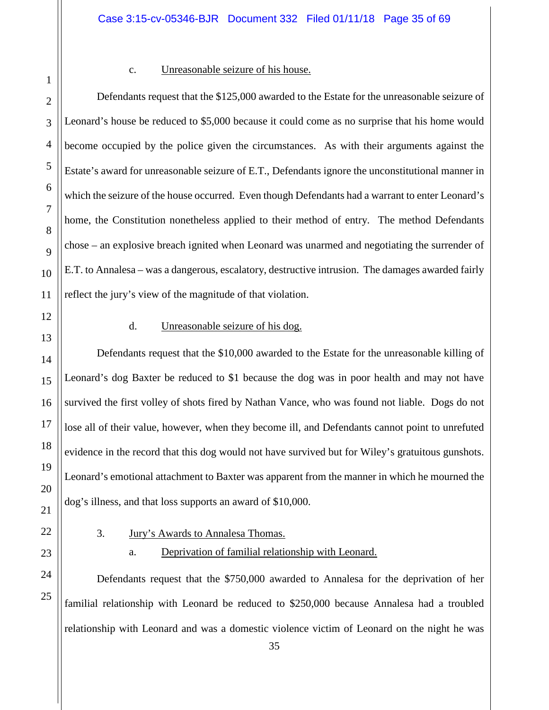25

#### c. Unreasonable seizure of his house.

Defendants request that the \$125,000 awarded to the Estate for the unreasonable seizure of Leonard's house be reduced to \$5,000 because it could come as no surprise that his home would become occupied by the police given the circumstances. As with their arguments against the Estate's award for unreasonable seizure of E.T., Defendants ignore the unconstitutional manner in which the seizure of the house occurred. Even though Defendants had a warrant to enter Leonard's home, the Constitution nonetheless applied to their method of entry. The method Defendants chose – an explosive breach ignited when Leonard was unarmed and negotiating the surrender of E.T. to Annalesa – was a dangerous, escalatory, destructive intrusion. The damages awarded fairly reflect the jury's view of the magnitude of that violation.

# d. Unreasonable seizure of his dog.

Defendants request that the \$10,000 awarded to the Estate for the unreasonable killing of Leonard's dog Baxter be reduced to \$1 because the dog was in poor health and may not have survived the first volley of shots fired by Nathan Vance, who was found not liable. Dogs do not lose all of their value, however, when they become ill, and Defendants cannot point to unrefuted evidence in the record that this dog would not have survived but for Wiley's gratuitous gunshots. Leonard's emotional attachment to Baxter was apparent from the manner in which he mourned the dog's illness, and that loss supports an award of \$10,000.

# <span id="page-34-0"></span>3. Jury's Awards to Annalesa Thomas.

# a. Deprivation of familial relationship with Leonard.

Defendants request that the \$750,000 awarded to Annalesa for the deprivation of her familial relationship with Leonard be reduced to \$250,000 because Annalesa had a troubled relationship with Leonard and was a domestic violence victim of Leonard on the night he was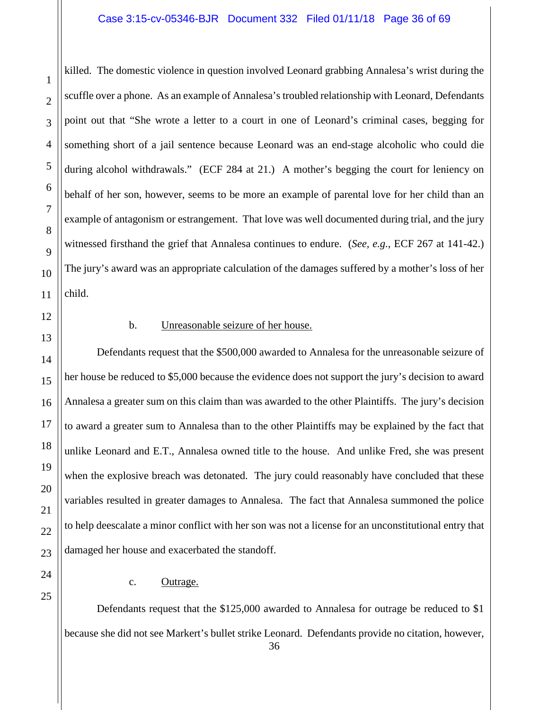#### Case 3:15-cv-05346-BJR Document 332 Filed 01/11/18 Page 36 of 69

killed. The domestic violence in question involved Leonard grabbing Annalesa's wrist during the scuffle over a phone. As an example of Annalesa's troubled relationship with Leonard, Defendants point out that "She wrote a letter to a court in one of Leonard's criminal cases, begging for something short of a jail sentence because Leonard was an end-stage alcoholic who could die during alcohol withdrawals." (ECF 284 at 21.) A mother's begging the court for leniency on behalf of her son, however, seems to be more an example of parental love for her child than an example of antagonism or estrangement. That love was well documented during trial, and the jury witnessed firsthand the grief that Annalesa continues to endure. (*See, e.g.*, ECF 267 at 141-42.) The jury's award was an appropriate calculation of the damages suffered by a mother's loss of her child.

1

2

3

4

5

6

7

8

9

10

11

12

13

14

15

16

17

18

19

20

21

22

23

24

25

# b. Unreasonable seizure of her house.

Defendants request that the \$500,000 awarded to Annalesa for the unreasonable seizure of her house be reduced to \$5,000 because the evidence does not support the jury's decision to award Annalesa a greater sum on this claim than was awarded to the other Plaintiffs. The jury's decision to award a greater sum to Annalesa than to the other Plaintiffs may be explained by the fact that unlike Leonard and E.T., Annalesa owned title to the house. And unlike Fred, she was present when the explosive breach was detonated. The jury could reasonably have concluded that these variables resulted in greater damages to Annalesa. The fact that Annalesa summoned the police to help deescalate a minor conflict with her son was not a license for an unconstitutional entry that damaged her house and exacerbated the standoff.

#### c. Outrage.

Defendants request that the \$125,000 awarded to Annalesa for outrage be reduced to \$1 because she did not see Markert's bullet strike Leonard. Defendants provide no citation, however,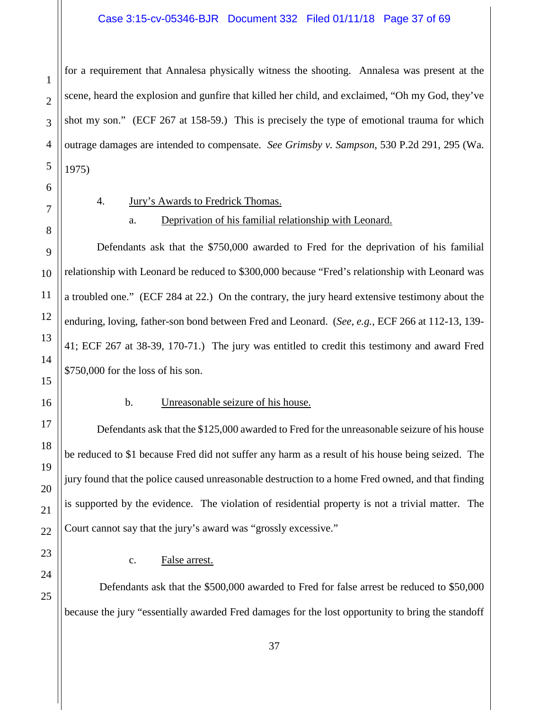## Case 3:15-cv-05346-BJR Document 332 Filed 01/11/18 Page 37 of 69

for a requirement that Annalesa physically witness the shooting. Annalesa was present at the scene, heard the explosion and gunfire that killed her child, and exclaimed, "Oh my God, they've shot my son." (ECF 267 at 158-59.) This is precisely the type of emotional trauma for which outrage damages are intended to compensate. *See Grimsby v. Sampson*, 530 P.2d 291, 295 (Wa. 1975)

<span id="page-36-0"></span>

1

2

3

4

5

6

7

8

9

10

11

12

13

14

15

16

17

18

19

20

21

22

23

24

25

- 4. Jury's Awards to Fredrick Thomas.
	- a. Deprivation of his familial relationship with Leonard.

Defendants ask that the \$750,000 awarded to Fred for the deprivation of his familial relationship with Leonard be reduced to \$300,000 because "Fred's relationship with Leonard was a troubled one." (ECF 284 at 22.) On the contrary, the jury heard extensive testimony about the enduring, loving, father-son bond between Fred and Leonard. (*See, e.g.*, ECF 266 at 112-13, 139- 41; ECF 267 at 38-39, 170-71.) The jury was entitled to credit this testimony and award Fred \$750,000 for the loss of his son.

### b. Unreasonable seizure of his house.

Defendants ask that the \$125,000 awarded to Fred for the unreasonable seizure of his house be reduced to \$1 because Fred did not suffer any harm as a result of his house being seized. The jury found that the police caused unreasonable destruction to a home Fred owned, and that finding is supported by the evidence. The violation of residential property is not a trivial matter. The Court cannot say that the jury's award was "grossly excessive."

c. False arrest.

Defendants ask that the \$500,000 awarded to Fred for false arrest be reduced to \$50,000 because the jury "essentially awarded Fred damages for the lost opportunity to bring the standoff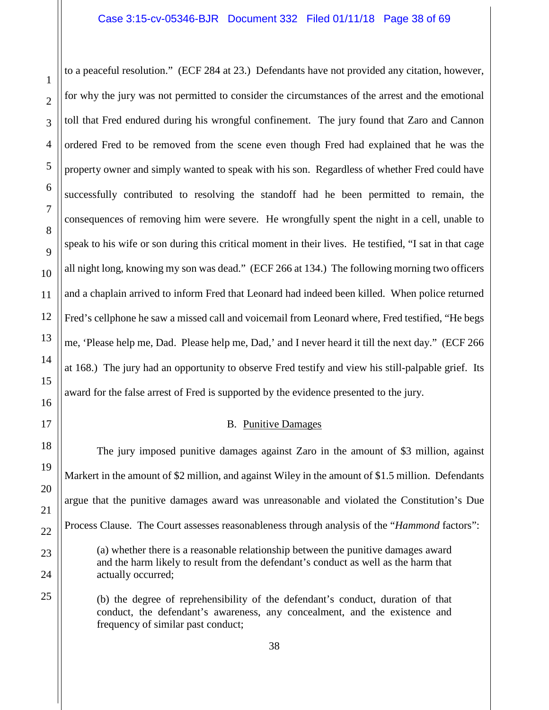to a peaceful resolution." (ECF 284 at 23.) Defendants have not provided any citation, however, for why the jury was not permitted to consider the circumstances of the arrest and the emotional toll that Fred endured during his wrongful confinement. The jury found that Zaro and Cannon ordered Fred to be removed from the scene even though Fred had explained that he was the property owner and simply wanted to speak with his son. Regardless of whether Fred could have successfully contributed to resolving the standoff had he been permitted to remain, the consequences of removing him were severe. He wrongfully spent the night in a cell, unable to speak to his wife or son during this critical moment in their lives. He testified, "I sat in that cage all night long, knowing my son was dead." (ECF 266 at 134.) The following morning two officers and a chaplain arrived to inform Fred that Leonard had indeed been killed. When police returned Fred's cellphone he saw a missed call and voicemail from Leonard where, Fred testified, "He begs me, 'Please help me, Dad. Please help me, Dad,' and I never heard it till the next day." (ECF 266 at 168.) The jury had an opportunity to observe Fred testify and view his still-palpable grief. Its award for the false arrest of Fred is supported by the evidence presented to the jury.

# B. Punitive Damages

<span id="page-37-0"></span>The jury imposed punitive damages against Zaro in the amount of \$3 million, against Markert in the amount of \$2 million, and against Wiley in the amount of \$1.5 million. Defendants argue that the punitive damages award was unreasonable and violated the Constitution's Due Process Clause. The Court assesses reasonableness through analysis of the "*Hammond* factors": (a) whether there is a reasonable relationship between the punitive damages award and the harm likely to result from the defendant's conduct as well as the harm that actually occurred;

(b) the degree of reprehensibility of the defendant's conduct, duration of that conduct, the defendant's awareness, any concealment, and the existence and frequency of similar past conduct;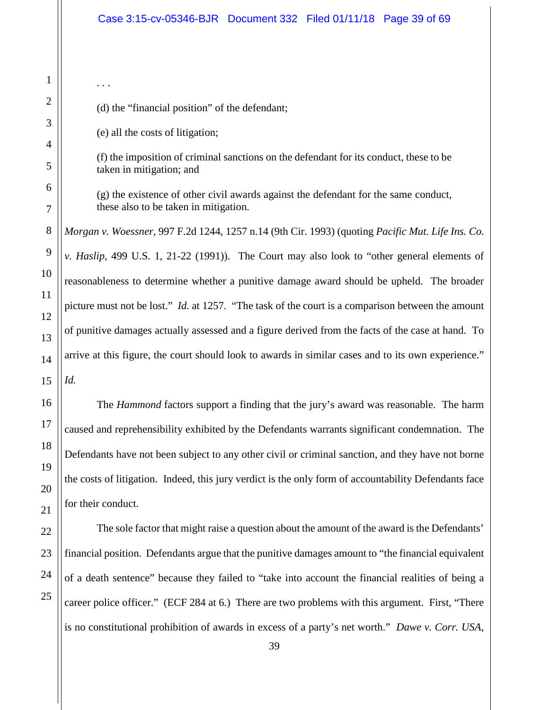(d) the "financial position" of the defendant;

(e) all the costs of litigation;

. . .

(f) the imposition of criminal sanctions on the defendant for its conduct, these to be taken in mitigation; and

(g) the existence of other civil awards against the defendant for the same conduct, these also to be taken in mitigation.

*Morgan v. Woessner*, 997 F.2d 1244, 1257 n.14 (9th Cir. 1993) (quoting *Pacific Mut. Life Ins. Co. v. Haslip*, 499 U.S. 1, 21-22 (1991)). The Court may also look to "other general elements of reasonableness to determine whether a punitive damage award should be upheld. The broader picture must not be lost." *Id.* at 1257. "The task of the court is a comparison between the amount of punitive damages actually assessed and a figure derived from the facts of the case at hand. To arrive at this figure, the court should look to awards in similar cases and to its own experience." *Id.*

The *Hammond* factors support a finding that the jury's award was reasonable. The harm caused and reprehensibility exhibited by the Defendants warrants significant condemnation. The Defendants have not been subject to any other civil or criminal sanction, and they have not borne the costs of litigation. Indeed, this jury verdict is the only form of accountability Defendants face for their conduct.

The sole factor that might raise a question about the amount of the award is the Defendants' financial position. Defendants argue that the punitive damages amount to "the financial equivalent of a death sentence" because they failed to "take into account the financial realities of being a career police officer." (ECF 284 at 6.) There are two problems with this argument. First, "There is no constitutional prohibition of awards in excess of a party's net worth." *Dawe v. Corr. USA*,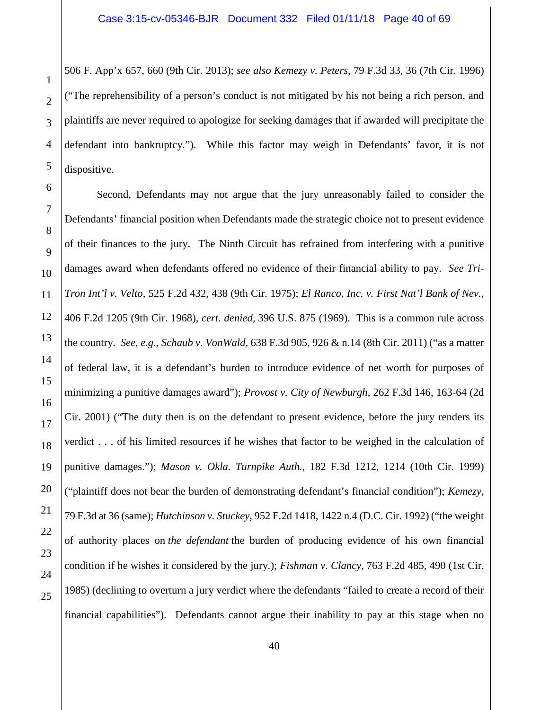506 F. App'x 657, 660 (9th Cir. 2013); *see also Kemezy v. Peters*, 79 F.3d 33, 36 (7th Cir. 1996) ("The reprehensibility of a person's conduct is not mitigated by his not being a rich person, and plaintiffs are never required to apologize for seeking damages that if awarded will precipitate the defendant into bankruptcy."). While this factor may weigh in Defendants' favor, it is not dispositive.

Second, Defendants may not argue that the jury unreasonably failed to consider the Defendants' financial position when Defendants made the strategic choice not to present evidence of their finances to the jury. The Ninth Circuit has refrained from interfering with a punitive damages award when defendants offered no evidence of their financial ability to pay. *See Tri-Tron Int'l v. Velto*, 525 F.2d 432, 438 (9th Cir. 1975); *El Ranco, Inc. v. First Nat'l Bank of Nev.*, 406 F.2d 1205 (9th Cir. 1968), *cert. denied,* 396 U.S. 875 (1969). This is a common rule across the country. *See, e.g.*, *Schaub v. VonWald*, 638 F.3d 905, 926 & n.14 (8th Cir. 2011) ("as a matter of federal law, it is a defendant's burden to introduce evidence of net worth for purposes of minimizing a punitive damages award"); *Provost v. City of Newburgh*, 262 F.3d 146, 163-64 (2d Cir. 2001) ("The duty then is on the defendant to present evidence, before the jury renders its verdict . . . of his limited resources if he wishes that factor to be weighed in the calculation of punitive damages."); *Mason v. Okla. Turnpike Auth.*, 182 F.3d 1212, 1214 (10th Cir. 1999) ("plaintiff does not bear the burden of demonstrating defendant's financial condition"); *Kemezy*, 79 F.3d at 36 (same); *Hutchinson v. Stuckey*, 952 F.2d 1418, 1422 n.4 (D.C. Cir. 1992) ("the weight of authority places on *the defendant* the burden of producing evidence of his own financial condition if he wishes it considered by the jury.); *Fishman v. Clancy,* 763 F.2d 485, 490 (1st Cir. 1985) (declining to overturn a jury verdict where the defendants "failed to create a record of their financial capabilities"). Defendants cannot argue their inability to pay at this stage when no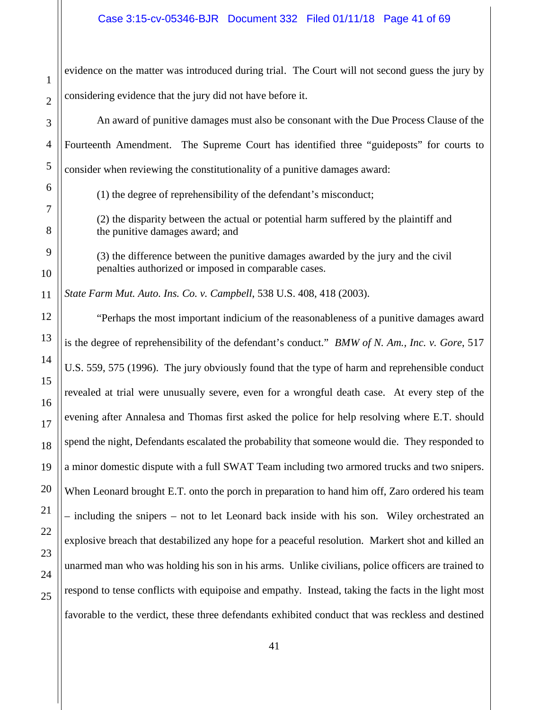evidence on the matter was introduced during trial. The Court will not second guess the jury by considering evidence that the jury did not have before it.

An award of punitive damages must also be consonant with the Due Process Clause of the Fourteenth Amendment. The Supreme Court has identified three "guideposts" for courts to consider when reviewing the constitutionality of a punitive damages award:

(1) the degree of reprehensibility of the defendant's misconduct;

(2) the disparity between the actual or potential harm suffered by the plaintiff and the punitive damages award; and

(3) the difference between the punitive damages awarded by the jury and the civil penalties authorized or imposed in comparable cases.

*State Farm Mut. Auto. Ins. Co. v. Campbell*, 538 U.S. 408, 418 (2003).

"Perhaps the most important indicium of the reasonableness of a punitive damages award is the degree of reprehensibility of the defendant's conduct." *BMW of N. Am., Inc. v. Gore*, 517 U.S. 559, 575 (1996). The jury obviously found that the type of harm and reprehensible conduct revealed at trial were unusually severe, even for a wrongful death case. At every step of the evening after Annalesa and Thomas first asked the police for help resolving where E.T. should spend the night, Defendants escalated the probability that someone would die. They responded to a minor domestic dispute with a full SWAT Team including two armored trucks and two snipers. When Leonard brought E.T. onto the porch in preparation to hand him off, Zaro ordered his team – including the snipers – not to let Leonard back inside with his son. Wiley orchestrated an explosive breach that destabilized any hope for a peaceful resolution. Markert shot and killed an unarmed man who was holding his son in his arms. Unlike civilians, police officers are trained to respond to tense conflicts with equipoise and empathy. Instead, taking the facts in the light most favorable to the verdict, these three defendants exhibited conduct that was reckless and destined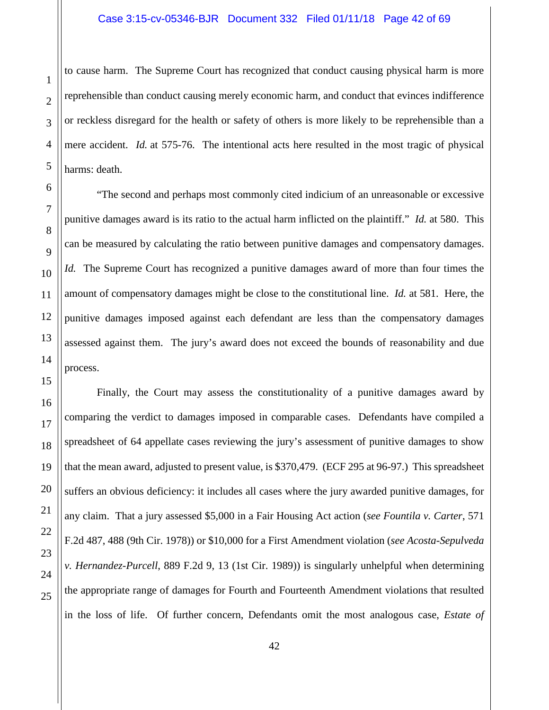to cause harm. The Supreme Court has recognized that conduct causing physical harm is more reprehensible than conduct causing merely economic harm, and conduct that evinces indifference or reckless disregard for the health or safety of others is more likely to be reprehensible than a mere accident. *Id.* at 575-76. The intentional acts here resulted in the most tragic of physical harms: death.

"The second and perhaps most commonly cited indicium of an unreasonable or excessive punitive damages award is its ratio to the actual harm inflicted on the plaintiff." *Id.* at 580. This can be measured by calculating the ratio between punitive damages and compensatory damages. *Id.* The Supreme Court has recognized a punitive damages award of more than four times the amount of compensatory damages might be close to the constitutional line. *Id.* at 581. Here, the punitive damages imposed against each defendant are less than the compensatory damages assessed against them. The jury's award does not exceed the bounds of reasonability and due process.

Finally, the Court may assess the constitutionality of a punitive damages award by comparing the verdict to damages imposed in comparable cases. Defendants have compiled a spreadsheet of 64 appellate cases reviewing the jury's assessment of punitive damages to show that the mean award, adjusted to present value, is \$370,479. (ECF 295 at 96-97.) This spreadsheet suffers an obvious deficiency: it includes all cases where the jury awarded punitive damages, for any claim. That a jury assessed \$5,000 in a Fair Housing Act action (*see Fountila v. Carter*, 571 F.2d 487, 488 (9th Cir. 1978)) or \$10,000 for a First Amendment violation (*see Acosta-Sepulveda v. Hernandez-Purcell*, 889 F.2d 9, 13 (1st Cir. 1989)) is singularly unhelpful when determining the appropriate range of damages for Fourth and Fourteenth Amendment violations that resulted in the loss of life. Of further concern, Defendants omit the most analogous case, *Estate of*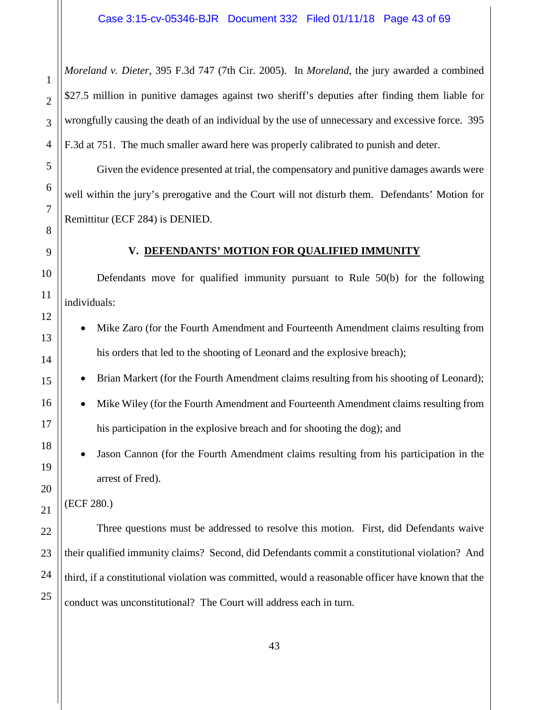*Moreland v. Dieter*, 395 F.3d 747 (7th Cir. 2005). In *Moreland*, the jury awarded a combined \$27.5 million in punitive damages against two sheriff's deputies after finding them liable for wrongfully causing the death of an individual by the use of unnecessary and excessive force. 395 F.3d at 751. The much smaller award here was properly calibrated to punish and deter.

Given the evidence presented at trial, the compensatory and punitive damages awards were well within the jury's prerogative and the Court will not disturb them. Defendants' Motion for Remittitur (ECF 284) is DENIED.

# **V. DEFENDANTS' MOTION FOR QUALIFIED IMMUNITY**

<span id="page-42-0"></span>Defendants move for qualified immunity pursuant to Rule 50(b) for the following individuals:

- Mike Zaro (for the Fourth Amendment and Fourteenth Amendment claims resulting from his orders that led to the shooting of Leonard and the explosive breach);
- Brian Markert (for the Fourth Amendment claims resulting from his shooting of Leonard);
- Mike Wiley (for the Fourth Amendment and Fourteenth Amendment claims resulting from his participation in the explosive breach and for shooting the dog); and
- Jason Cannon (for the Fourth Amendment claims resulting from his participation in the arrest of Fred).

(ECF 280.)

Three questions must be addressed to resolve this motion. First, did Defendants waive their qualified immunity claims? Second, did Defendants commit a constitutional violation? And third, if a constitutional violation was committed, would a reasonable officer have known that the conduct was unconstitutional? The Court will address each in turn.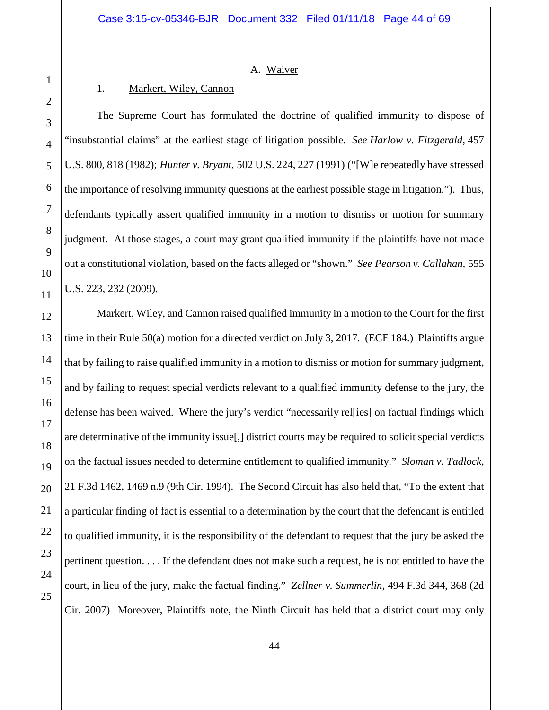#### A. Waiver

# <span id="page-43-0"></span>1. Markert, Wiley, Cannon

<span id="page-43-1"></span>The Supreme Court has formulated the doctrine of qualified immunity to dispose of "insubstantial claims" at the earliest stage of litigation possible. *See Harlow v. Fitzgerald,* 457 U.S. 800, 818 (1982); *Hunter v. Bryant,* 502 U.S. 224, 227 (1991) ("[W]e repeatedly have stressed the importance of resolving immunity questions at the earliest possible stage in litigation."). Thus, defendants typically assert qualified immunity in a motion to dismiss or motion for summary judgment. At those stages, a court may grant qualified immunity if the plaintiffs have not made out a constitutional violation, based on the facts alleged or "shown." *See Pearson v. Callahan,* 555 U.S. 223, 232 (2009).

Markert, Wiley, and Cannon raised qualified immunity in a motion to the Court for the first time in their Rule 50(a) motion for a directed verdict on July 3, 2017. (ECF 184.) Plaintiffs argue that by failing to raise qualified immunity in a motion to dismiss or motion for summary judgment, and by failing to request special verdicts relevant to a qualified immunity defense to the jury, the defense has been waived. Where the jury's verdict "necessarily rel[ies] on factual findings which are determinative of the immunity issue[,] district courts may be required to solicit special verdicts on the factual issues needed to determine entitlement to qualified immunity." *Sloman v. Tadlock*, 21 F.3d 1462, 1469 n.9 (9th Cir. 1994). The Second Circuit has also held that, "To the extent that a particular finding of fact is essential to a determination by the court that the defendant is entitled to qualified immunity, it is the responsibility of the defendant to request that the jury be asked the pertinent question. . . . If the defendant does not make such a request, he is not entitled to have the court, in lieu of the jury, make the factual finding." *Zellner v. Summerlin*, 494 F.3d 344, 368 (2d Cir. 2007) Moreover, Plaintiffs note, the Ninth Circuit has held that a district court may only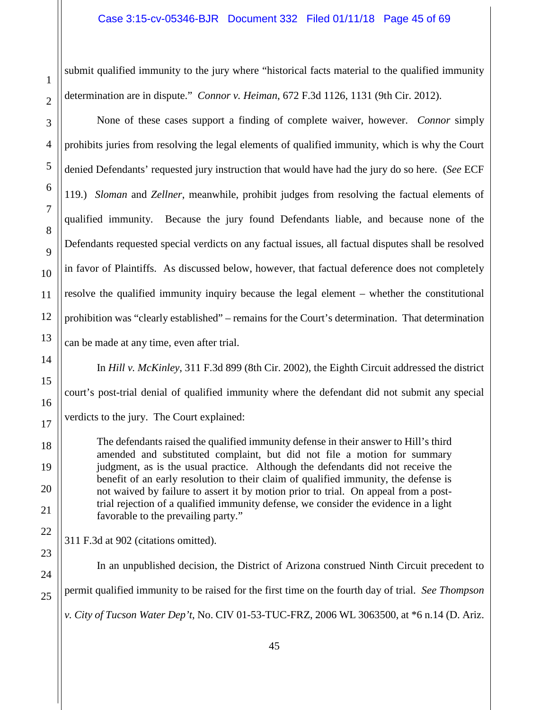submit qualified immunity to the jury where "historical facts material to the qualified immunity determination are in dispute." *Connor v. Heiman*, 672 F.3d 1126, 1131 (9th Cir. 2012).

None of these cases support a finding of complete waiver, however. *Connor* simply prohibits juries from resolving the legal elements of qualified immunity, which is why the Court denied Defendants' requested jury instruction that would have had the jury do so here. (*See* ECF 119.) *Sloman* and *Zellner*, meanwhile, prohibit judges from resolving the factual elements of qualified immunity. Because the jury found Defendants liable, and because none of the Defendants requested special verdicts on any factual issues, all factual disputes shall be resolved in favor of Plaintiffs. As discussed below, however, that factual deference does not completely resolve the qualified immunity inquiry because the legal element – whether the constitutional prohibition was "clearly established" – remains for the Court's determination. That determination can be made at any time, even after trial.

In *Hill v. McKinley*, 311 F.3d 899 (8th Cir. 2002), the Eighth Circuit addressed the district court's post-trial denial of qualified immunity where the defendant did not submit any special verdicts to the jury. The Court explained:

The defendants raised the qualified immunity defense in their answer to Hill's third amended and substituted complaint, but did not file a motion for summary judgment, as is the usual practice. Although the defendants did not receive the benefit of an early resolution to their claim of qualified immunity, the defense is not waived by failure to assert it by motion prior to trial. On appeal from a posttrial rejection of a qualified immunity defense, we consider the evidence in a light favorable to the prevailing party."

311 F.3d at 902 (citations omitted).

In an unpublished decision, the District of Arizona construed Ninth Circuit precedent to permit qualified immunity to be raised for the first time on the fourth day of trial. *See Thompson v. City of Tucson Water Dep't*, No. CIV 01-53-TUC-FRZ, 2006 WL 3063500, at \*6 n.14 (D. Ariz.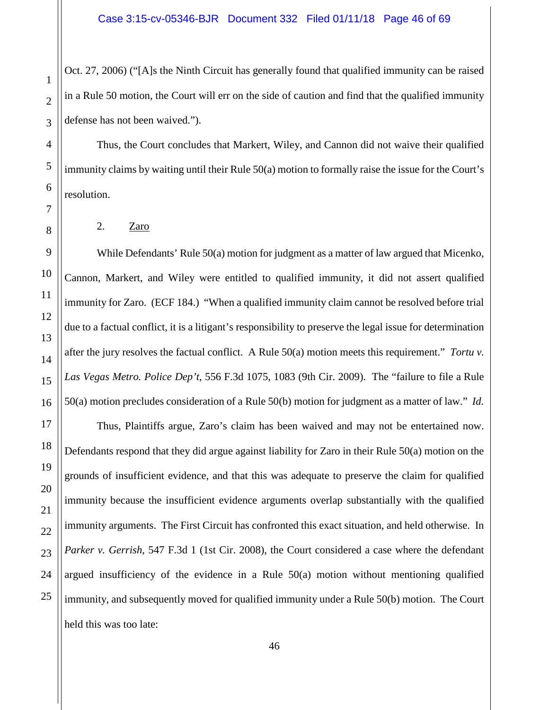Oct. 27, 2006) ("[A]s the Ninth Circuit has generally found that qualified immunity can be raised in a Rule 50 motion, the Court will err on the side of caution and find that the qualified immunity defense has not been waived.").

Thus, the Court concludes that Markert, Wiley, and Cannon did not waive their qualified immunity claims by waiting until their Rule 50(a) motion to formally raise the issue for the Court's resolution.

<span id="page-45-0"></span>2. Zaro

While Defendants' Rule 50(a) motion for judgment as a matter of law argued that Micenko, Cannon, Markert, and Wiley were entitled to qualified immunity, it did not assert qualified immunity for Zaro. (ECF 184.) "When a qualified immunity claim cannot be resolved before trial due to a factual conflict, it is a litigant's responsibility to preserve the legal issue for determination after the jury resolves the factual conflict. A Rule 50(a) motion meets this requirement." *Tortu v. Las Vegas Metro. Police Dep't*, 556 F.3d 1075, 1083 (9th Cir. 2009). The "failure to file a Rule 50(a) motion precludes consideration of a Rule 50(b) motion for judgment as a matter of law." *Id.*

Thus, Plaintiffs argue, Zaro's claim has been waived and may not be entertained now. Defendants respond that they did argue against liability for Zaro in their Rule 50(a) motion on the grounds of insufficient evidence, and that this was adequate to preserve the claim for qualified immunity because the insufficient evidence arguments overlap substantially with the qualified immunity arguments. The First Circuit has confronted this exact situation, and held otherwise. In *Parker v. Gerrish*, 547 F.3d 1 (1st Cir. 2008), the Court considered a case where the defendant argued insufficiency of the evidence in a Rule 50(a) motion without mentioning qualified immunity, and subsequently moved for qualified immunity under a Rule 50(b) motion. The Court held this was too late: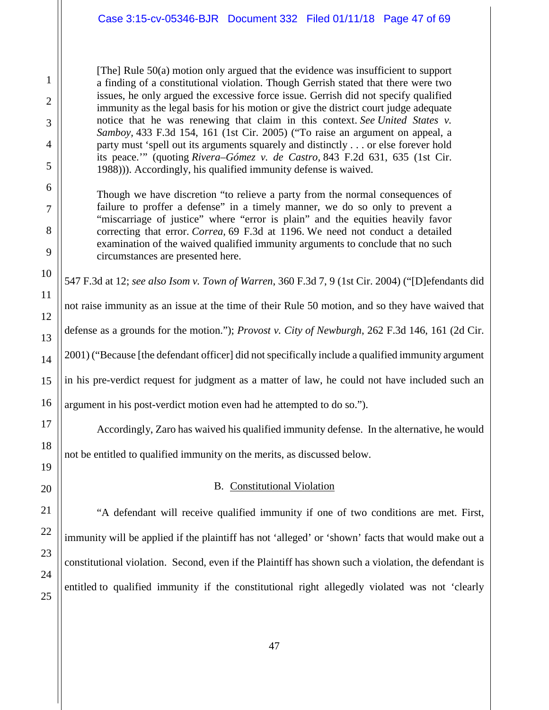[The] Rule 50(a) motion only argued that the evidence was insufficient to support a finding of a constitutional violation. Though Gerrish stated that there were two issues, he only argued the excessive force issue. Gerrish did not specify qualified immunity as the legal basis for his motion or give the district court judge adequate notice that he was renewing that claim in this context. *See United States v. Samboy,* 433 F.3d 154, 161 (1st Cir. 2005) ("To raise an argument on appeal, a party must 'spell out its arguments squarely and distinctly . . . or else forever hold its peace.'" (quoting *Rivera–Gómez v. de Castro,* 843 F.2d 631, 635 (1st Cir. 1988))). Accordingly, his qualified immunity defense is waived.

Though we have discretion "to relieve a party from the normal consequences of failure to proffer a defense" in a timely manner, we do so only to prevent a "miscarriage of justice" where "error is plain" and the equities heavily favor correcting that error. *Correa,* 69 F.3d at 1196. We need not conduct a detailed examination of the waived qualified immunity arguments to conclude that no such circumstances are presented here.

547 F.3d at 12; *see also Isom v. Town of Warren*, 360 F.3d 7, 9 (1st Cir. 2004) ("[D]efendants did

not raise immunity as an issue at the time of their Rule 50 motion, and so they have waived that defense as a grounds for the motion."); *Provost v. City of Newburgh*, 262 F.3d 146, 161 (2d Cir. 2001) ("Because [the defendant officer] did not specifically include a qualified immunity argument in his pre-verdict request for judgment as a matter of law, he could not have included such an argument in his post-verdict motion even had he attempted to do so.").

Accordingly, Zaro has waived his qualified immunity defense. In the alternative, he would

<span id="page-46-0"></span>not be entitled to qualified immunity on the merits, as discussed below.

# B. Constitutional Violation

"A defendant will receive qualified immunity if one of two conditions are met. First, immunity will be applied if the plaintiff has not 'alleged' or 'shown' facts that would make out a constitutional violation. Second, even if the Plaintiff has shown such a violation, the defendant is entitled to qualified immunity if the constitutional right allegedly violated was not 'clearly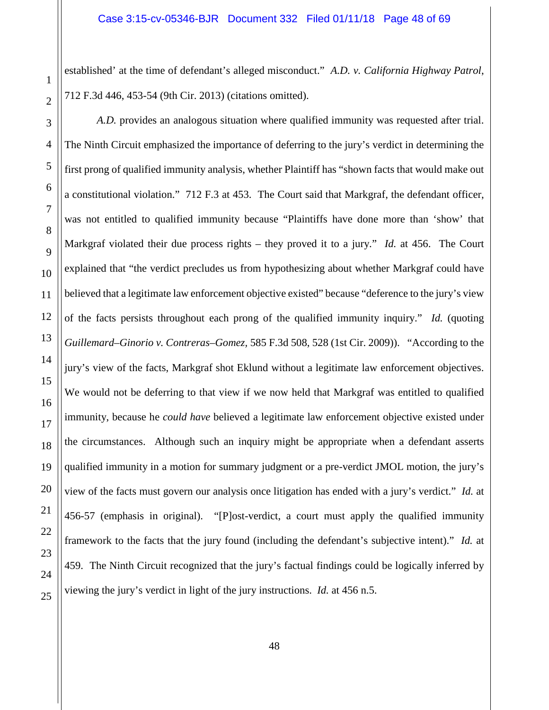established' at the time of defendant's alleged misconduct." *A.D. v. California Highway Patrol*, 712 F.3d 446, 453-54 (9th Cir. 2013) (citations omitted).

*A.D.* provides an analogous situation where qualified immunity was requested after trial. The Ninth Circuit emphasized the importance of deferring to the jury's verdict in determining the first prong of qualified immunity analysis, whether Plaintiff has "shown facts that would make out a constitutional violation." 712 F.3 at 453. The Court said that Markgraf, the defendant officer, was not entitled to qualified immunity because "Plaintiffs have done more than 'show' that Markgraf violated their due process rights – they proved it to a jury." *Id.* at 456. The Court explained that "the verdict precludes us from hypothesizing about whether Markgraf could have believed that a legitimate law enforcement objective existed" because "deference to the jury's view of the facts persists throughout each prong of the qualified immunity inquiry." *Id.* (quoting *Guillemard–Ginorio v. Contreras–Gomez,* 585 F.3d 508, 528 (1st Cir. 2009)). "According to the jury's view of the facts, Markgraf shot Eklund without a legitimate law enforcement objectives. We would not be deferring to that view if we now held that Markgraf was entitled to qualified immunity, because he *could have* believed a legitimate law enforcement objective existed under the circumstances. Although such an inquiry might be appropriate when a defendant asserts qualified immunity in a motion for summary judgment or a pre-verdict JMOL motion, the jury's view of the facts must govern our analysis once litigation has ended with a jury's verdict." *Id.* at 456-57 (emphasis in original). "[P]ost-verdict, a court must apply the qualified immunity framework to the facts that the jury found (including the defendant's subjective intent)." *Id.* at 459. The Ninth Circuit recognized that the jury's factual findings could be logically inferred by viewing the jury's verdict in light of the jury instructions. *Id.* at 456 n.5.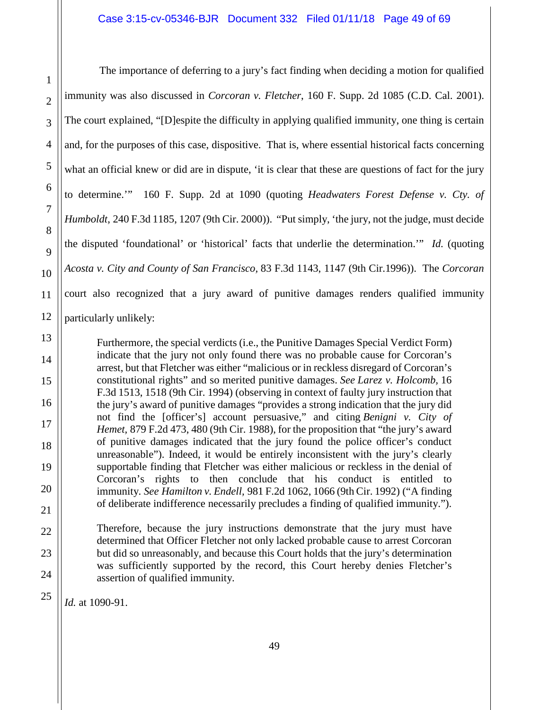The importance of deferring to a jury's fact finding when deciding a motion for qualified immunity was also discussed in *Corcoran v. Fletcher*, 160 F. Supp. 2d 1085 (C.D. Cal. 2001). The court explained, "[D]espite the difficulty in applying qualified immunity, one thing is certain and, for the purposes of this case, dispositive. That is, where essential historical facts concerning what an official knew or did are in dispute, 'it is clear that these are questions of fact for the jury to determine.'" 160 F. Supp. 2d at 1090 (quoting *Headwaters Forest Defense v. Cty. of Humboldt*, 240 F.3d 1185, 1207 (9th Cir. 2000)). "Put simply, 'the jury, not the judge, must decide the disputed 'foundational' or 'historical' facts that underlie the determination.'" *Id.* (quoting *Acosta v. City and County of San Francisco,* 83 F.3d 1143, 1147 (9th Cir.1996)). The *Corcoran*  court also recognized that a jury award of punitive damages renders qualified immunity particularly unlikely:

Furthermore, the special verdicts (i.e., the Punitive Damages Special Verdict Form) indicate that the jury not only found there was no probable cause for Corcoran's arrest, but that Fletcher was either "malicious or in reckless disregard of Corcoran's constitutional rights" and so merited punitive damages. *See Larez v. Holcomb,* 16 F.3d 1513, 1518 (9th Cir. 1994) (observing in context of faulty jury instruction that the jury's award of punitive damages "provides a strong indication that the jury did not find the [officer's] account persuasive," and citing *Benigni v. City of Hemet,* 879 F.2d 473, 480 (9th Cir. 1988), for the proposition that "the jury's award of punitive damages indicated that the jury found the police officer's conduct unreasonable"). Indeed, it would be entirely inconsistent with the jury's clearly supportable finding that Fletcher was either malicious or reckless in the denial of Corcoran's rights to then conclude that his conduct is entitled to immunity. *See Hamilton v. Endell,* 981 F.2d 1062, 1066 (9th Cir. 1992) ("A finding of deliberate indifference necessarily precludes a finding of qualified immunity.").

Therefore, because the jury instructions demonstrate that the jury must have determined that Officer Fletcher not only lacked probable cause to arrest Corcoran but did so unreasonably, and because this Court holds that the jury's determination was sufficiently supported by the record, this Court hereby denies Fletcher's assertion of qualified immunity.

*Id.* at 1090-91.

1

2

3

4

5

6

7

8

9

10

11

12

13

14

15

16

17

18

19

20

21

22

23

24

25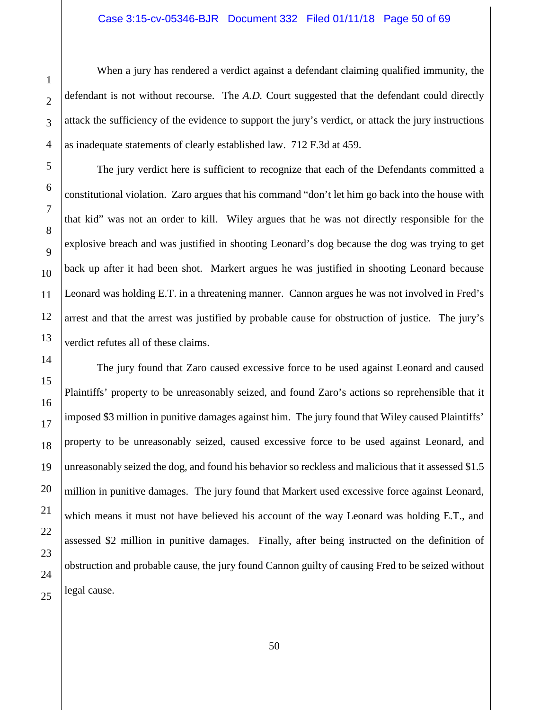When a jury has rendered a verdict against a defendant claiming qualified immunity, the defendant is not without recourse. The *A.D.* Court suggested that the defendant could directly attack the sufficiency of the evidence to support the jury's verdict, or attack the jury instructions as inadequate statements of clearly established law. 712 F.3d at 459.

The jury verdict here is sufficient to recognize that each of the Defendants committed a constitutional violation. Zaro argues that his command "don't let him go back into the house with that kid" was not an order to kill. Wiley argues that he was not directly responsible for the explosive breach and was justified in shooting Leonard's dog because the dog was trying to get back up after it had been shot. Markert argues he was justified in shooting Leonard because Leonard was holding E.T. in a threatening manner. Cannon argues he was not involved in Fred's arrest and that the arrest was justified by probable cause for obstruction of justice. The jury's verdict refutes all of these claims.

The jury found that Zaro caused excessive force to be used against Leonard and caused Plaintiffs' property to be unreasonably seized, and found Zaro's actions so reprehensible that it imposed \$3 million in punitive damages against him. The jury found that Wiley caused Plaintiffs' property to be unreasonably seized, caused excessive force to be used against Leonard, and unreasonably seized the dog, and found his behavior so reckless and malicious that it assessed \$1.5 million in punitive damages. The jury found that Markert used excessive force against Leonard, which means it must not have believed his account of the way Leonard was holding E.T., and assessed \$2 million in punitive damages. Finally, after being instructed on the definition of obstruction and probable cause, the jury found Cannon guilty of causing Fred to be seized without legal cause.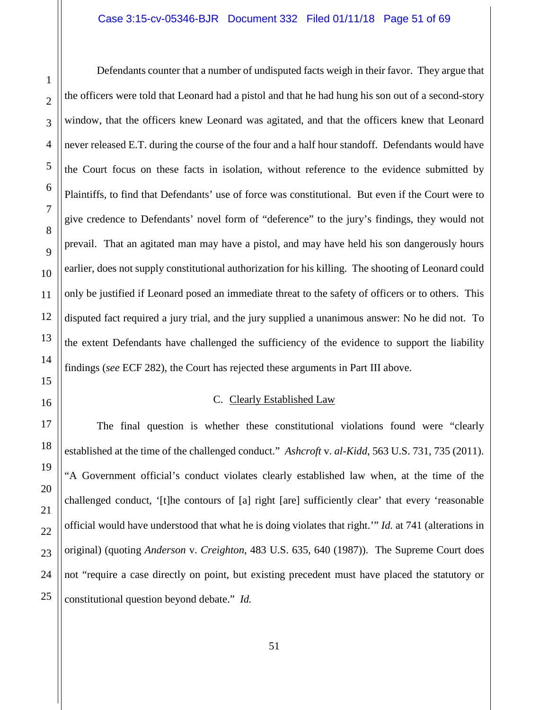Defendants counter that a number of undisputed facts weigh in their favor. They argue that the officers were told that Leonard had a pistol and that he had hung his son out of a second-story window, that the officers knew Leonard was agitated, and that the officers knew that Leonard never released E.T. during the course of the four and a half hour standoff. Defendants would have the Court focus on these facts in isolation, without reference to the evidence submitted by Plaintiffs, to find that Defendants' use of force was constitutional. But even if the Court were to give credence to Defendants' novel form of "deference" to the jury's findings, they would not prevail. That an agitated man may have a pistol, and may have held his son dangerously hours earlier, does not supply constitutional authorization for his killing. The shooting of Leonard could only be justified if Leonard posed an immediate threat to the safety of officers or to others. This disputed fact required a jury trial, and the jury supplied a unanimous answer: No he did not. To the extent Defendants have challenged the sufficiency of the evidence to support the liability findings (*see* ECF 282), the Court has rejected these arguments in Part III above.

# C. Clearly Established Law

<span id="page-50-0"></span>The final question is whether these constitutional violations found were "clearly established at the time of the challenged conduct." *Ashcroft* v. *al-Kidd*, 563 U.S. 731, 735 (2011). "A Government official's conduct violates clearly established law when, at the time of the challenged conduct, '[t]he contours of [a] right [are] sufficiently clear' that every 'reasonable official would have understood that what he is doing violates that right.'" *Id.* at 741 (alterations in original) (quoting *Anderson* v. *Creighton*, 483 U.S. 635, 640 (1987)). The Supreme Court does not "require a case directly on point, but existing precedent must have placed the statutory or constitutional question beyond debate." *Id.*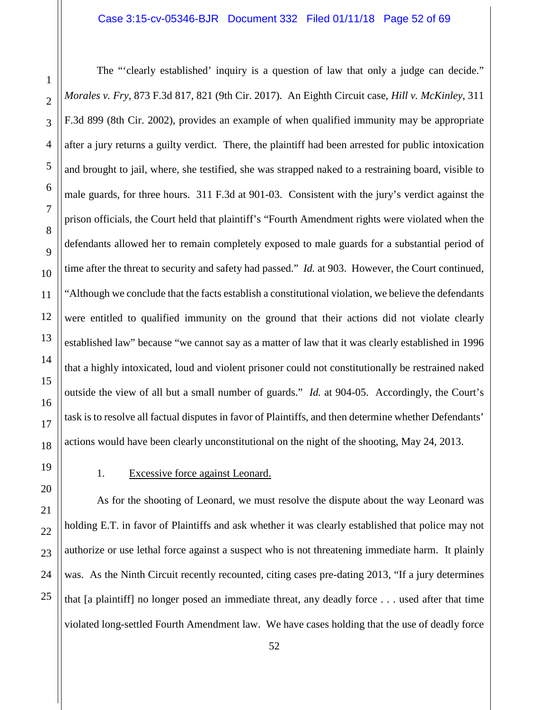The "'clearly established' inquiry is a question of law that only a judge can decide." *Morales v. Fry*, 873 F.3d 817, 821 (9th Cir. 2017). An Eighth Circuit case, *Hill v. McKinley*, 311 F.3d 899 (8th Cir. 2002), provides an example of when qualified immunity may be appropriate after a jury returns a guilty verdict. There, the plaintiff had been arrested for public intoxication and brought to jail, where, she testified, she was strapped naked to a restraining board, visible to male guards, for three hours. 311 F.3d at 901-03. Consistent with the jury's verdict against the prison officials, the Court held that plaintiff's "Fourth Amendment rights were violated when the defendants allowed her to remain completely exposed to male guards for a substantial period of time after the threat to security and safety had passed." *Id.* at 903. However, the Court continued, "Although we conclude that the facts establish a constitutional violation, we believe the defendants were entitled to qualified immunity on the ground that their actions did not violate clearly established law" because "we cannot say as a matter of law that it was clearly established in 1996 that a highly intoxicated, loud and violent prisoner could not constitutionally be restrained naked outside the view of all but a small number of guards." *Id.* at 904-05. Accordingly, the Court's task is to resolve all factual disputes in favor of Plaintiffs, and then determine whether Defendants' actions would have been clearly unconstitutional on the night of the shooting, May 24, 2013.

# 1. Excessive force against Leonard.

<span id="page-51-0"></span>As for the shooting of Leonard, we must resolve the dispute about the way Leonard was holding E.T. in favor of Plaintiffs and ask whether it was clearly established that police may not authorize or use lethal force against a suspect who is not threatening immediate harm. It plainly was. As the Ninth Circuit recently recounted, citing cases pre-dating 2013, "If a jury determines" that [a plaintiff] no longer posed an immediate threat, any deadly force . . . used after that time violated long-settled Fourth Amendment law. We have cases holding that the use of deadly force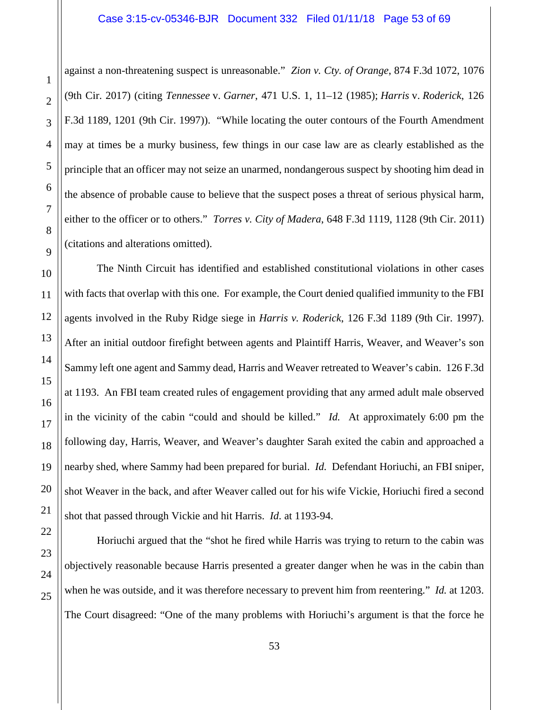#### Case 3:15-cv-05346-BJR Document 332 Filed 01/11/18 Page 53 of 69

against a non-threatening suspect is unreasonable." *Zion v. Cty. of Orange*, 874 F.3d 1072, 1076 (9th Cir. 2017) (citing *Tennessee* v. *Garner*, 471 U.S. 1, 11–12 (1985); *Harris* v. *Roderick*, 126 F.3d 1189, 1201 (9th Cir. 1997)). "While locating the outer contours of the Fourth Amendment may at times be a murky business, few things in our case law are as clearly established as the principle that an officer may not seize an unarmed, nondangerous suspect by shooting him dead in the absence of probable cause to believe that the suspect poses a threat of serious physical harm, either to the officer or to others." *Torres v. City of Madera*, 648 F.3d 1119, 1128 (9th Cir. 2011) (citations and alterations omitted).

The Ninth Circuit has identified and established constitutional violations in other cases with facts that overlap with this one. For example, the Court denied qualified immunity to the FBI agents involved in the Ruby Ridge siege in *Harris v. Roderick*, 126 F.3d 1189 (9th Cir. 1997). After an initial outdoor firefight between agents and Plaintiff Harris, Weaver, and Weaver's son Sammy left one agent and Sammy dead, Harris and Weaver retreated to Weaver's cabin. 126 F.3d at 1193. An FBI team created rules of engagement providing that any armed adult male observed in the vicinity of the cabin "could and should be killed." *Id.* At approximately 6:00 pm the following day, Harris, Weaver, and Weaver's daughter Sarah exited the cabin and approached a nearby shed, where Sammy had been prepared for burial. *Id.* Defendant Horiuchi, an FBI sniper, shot Weaver in the back, and after Weaver called out for his wife Vickie, Horiuchi fired a second shot that passed through Vickie and hit Harris. *Id.* at 1193-94.

Horiuchi argued that the "shot he fired while Harris was trying to return to the cabin was objectively reasonable because Harris presented a greater danger when he was in the cabin than when he was outside, and it was therefore necessary to prevent him from reentering." *Id.* at 1203. The Court disagreed: "One of the many problems with Horiuchi's argument is that the force he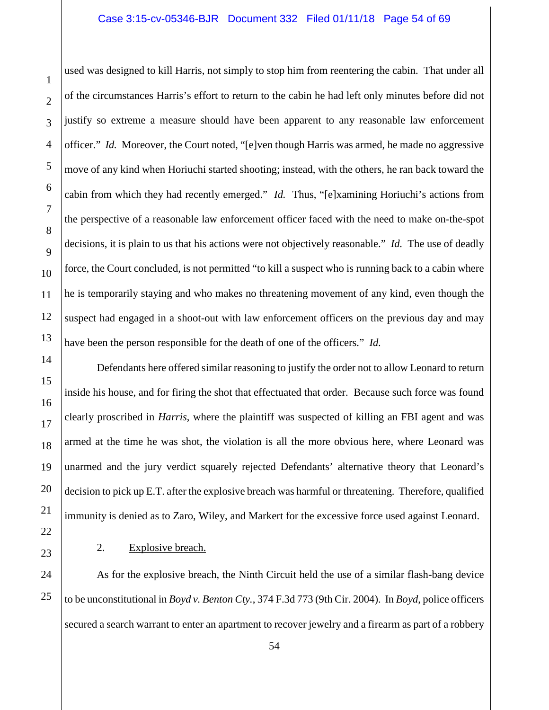# Case 3:15-cv-05346-BJR Document 332 Filed 01/11/18 Page 54 of 69

used was designed to kill Harris, not simply to stop him from reentering the cabin. That under all of the circumstances Harris's effort to return to the cabin he had left only minutes before did not justify so extreme a measure should have been apparent to any reasonable law enforcement officer." *Id.* Moreover, the Court noted, "[e]ven though Harris was armed, he made no aggressive move of any kind when Horiuchi started shooting; instead, with the others, he ran back toward the cabin from which they had recently emerged." *Id.* Thus, "[e]xamining Horiuchi's actions from the perspective of a reasonable law enforcement officer faced with the need to make on-the-spot decisions, it is plain to us that his actions were not objectively reasonable." *Id.* The use of deadly force, the Court concluded, is not permitted "to kill a suspect who is running back to a cabin where he is temporarily staying and who makes no threatening movement of any kind, even though the suspect had engaged in a shoot-out with law enforcement officers on the previous day and may have been the person responsible for the death of one of the officers." *Id.*

Defendants here offered similar reasoning to justify the order not to allow Leonard to return inside his house, and for firing the shot that effectuated that order. Because such force was found clearly proscribed in *Harris*, where the plaintiff was suspected of killing an FBI agent and was armed at the time he was shot, the violation is all the more obvious here, where Leonard was unarmed and the jury verdict squarely rejected Defendants' alternative theory that Leonard's decision to pick up E.T. after the explosive breach was harmful or threatening. Therefore, qualified immunity is denied as to Zaro, Wiley, and Markert for the excessive force used against Leonard.

# <span id="page-53-0"></span>2. Explosive breach.

As for the explosive breach, the Ninth Circuit held the use of a similar flash-bang device to be unconstitutional in *Boyd v. Benton Cty.*, 374 F.3d 773 (9th Cir. 2004). In *Boyd*, police officers secured a search warrant to enter an apartment to recover jewelry and a firearm as part of a robbery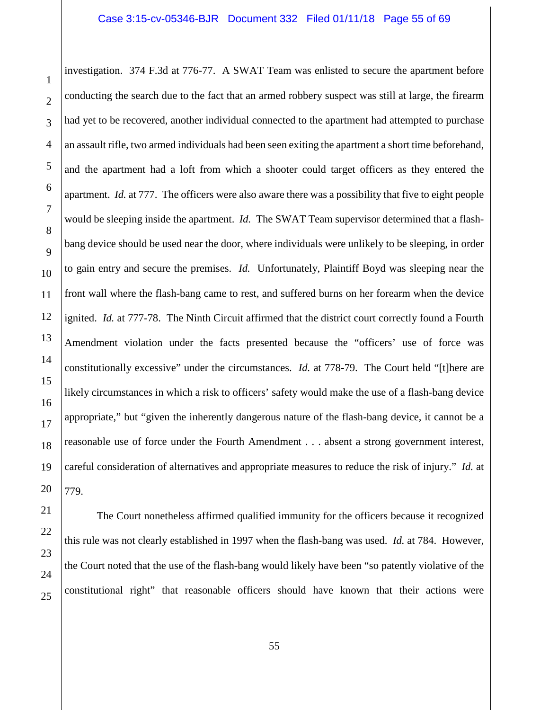investigation. 374 F.3d at 776-77. A SWAT Team was enlisted to secure the apartment before conducting the search due to the fact that an armed robbery suspect was still at large, the firearm had yet to be recovered, another individual connected to the apartment had attempted to purchase an assault rifle, two armed individuals had been seen exiting the apartment a short time beforehand, and the apartment had a loft from which a shooter could target officers as they entered the apartment. *Id.* at 777. The officers were also aware there was a possibility that five to eight people would be sleeping inside the apartment. *Id.* The SWAT Team supervisor determined that a flashbang device should be used near the door, where individuals were unlikely to be sleeping, in order to gain entry and secure the premises. *Id.* Unfortunately, Plaintiff Boyd was sleeping near the front wall where the flash-bang came to rest, and suffered burns on her forearm when the device ignited. *Id.* at 777-78. The Ninth Circuit affirmed that the district court correctly found a Fourth Amendment violation under the facts presented because the "officers' use of force was constitutionally excessive" under the circumstances. *Id.* at 778-79. The Court held "[t]here are likely circumstances in which a risk to officers' safety would make the use of a flash-bang device appropriate," but "given the inherently dangerous nature of the flash-bang device, it cannot be a reasonable use of force under the Fourth Amendment . . . absent a strong government interest, careful consideration of alternatives and appropriate measures to reduce the risk of injury." *Id.* at 779.

The Court nonetheless affirmed qualified immunity for the officers because it recognized this rule was not clearly established in 1997 when the flash-bang was used. *Id.* at 784. However, the Court noted that the use of the flash-bang would likely have been "so patently violative of the constitutional right" that reasonable officers should have known that their actions were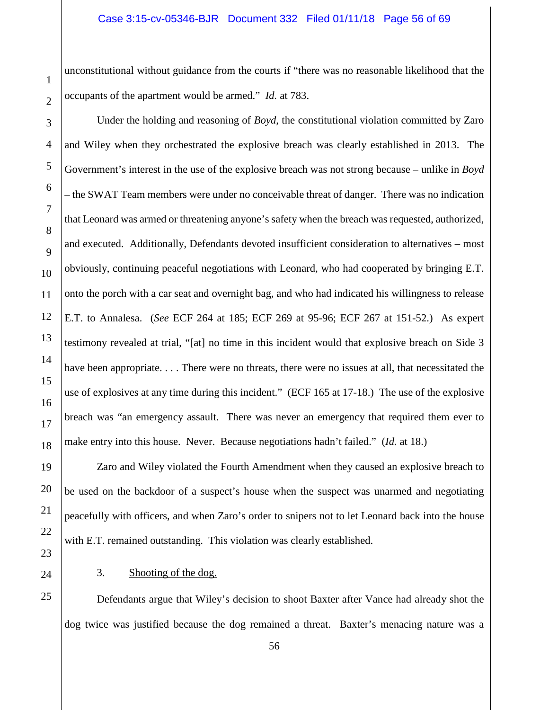unconstitutional without guidance from the courts if "there was no reasonable likelihood that the occupants of the apartment would be armed." *Id.* at 783.

3 4 5 6 7 8 9 10 11 12 13 14 15 16 17 18 Under the holding and reasoning of *Boyd*, the constitutional violation committed by Zaro and Wiley when they orchestrated the explosive breach was clearly established in 2013. The Government's interest in the use of the explosive breach was not strong because – unlike in *Boyd* – the SWAT Team members were under no conceivable threat of danger. There was no indication that Leonard was armed or threatening anyone's safety when the breach was requested, authorized, and executed. Additionally, Defendants devoted insufficient consideration to alternatives – most obviously, continuing peaceful negotiations with Leonard, who had cooperated by bringing E.T. onto the porch with a car seat and overnight bag, and who had indicated his willingness to release E.T. to Annalesa. (*See* ECF 264 at 185; ECF 269 at 95-96; ECF 267 at 151-52.) As expert testimony revealed at trial, "[at] no time in this incident would that explosive breach on Side 3 have been appropriate. . . . There were no threats, there were no issues at all, that necessitated the use of explosives at any time during this incident." (ECF 165 at 17-18.) The use of the explosive breach was "an emergency assault. There was never an emergency that required them ever to make entry into this house. Never. Because negotiations hadn't failed." (*Id.* at 18.)

Zaro and Wiley violated the Fourth Amendment when they caused an explosive breach to be used on the backdoor of a suspect's house when the suspect was unarmed and negotiating peacefully with officers, and when Zaro's order to snipers not to let Leonard back into the house with E.T. remained outstanding. This violation was clearly established.

3. Shooting of the dog.

Defendants argue that Wiley's decision to shoot Baxter after Vance had already shot the dog twice was justified because the dog remained a threat. Baxter's menacing nature was a

19

20

21

22

<span id="page-55-0"></span>23

24

25

1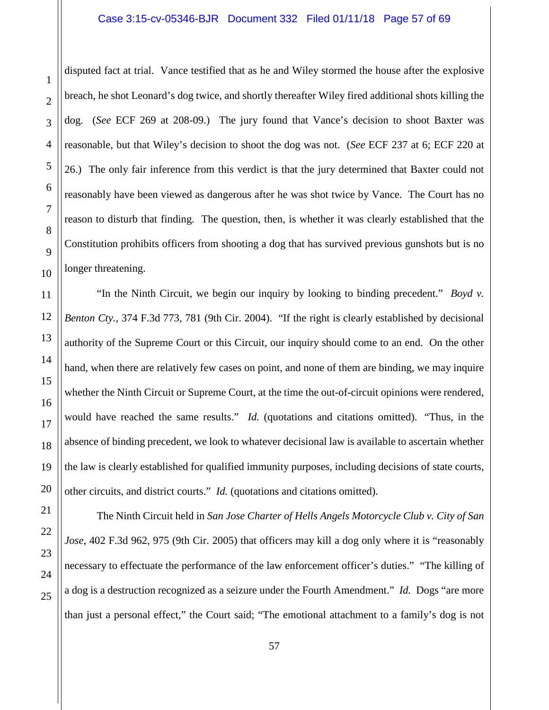#### Case 3:15-cv-05346-BJR Document 332 Filed 01/11/18 Page 57 of 69

disputed fact at trial. Vance testified that as he and Wiley stormed the house after the explosive breach, he shot Leonard's dog twice, and shortly thereafter Wiley fired additional shots killing the dog. (*See* ECF 269 at 208-09.) The jury found that Vance's decision to shoot Baxter was reasonable, but that Wiley's decision to shoot the dog was not. (*See* ECF 237 at 6; ECF 220 at 26.) The only fair inference from this verdict is that the jury determined that Baxter could not reasonably have been viewed as dangerous after he was shot twice by Vance. The Court has no reason to disturb that finding. The question, then, is whether it was clearly established that the Constitution prohibits officers from shooting a dog that has survived previous gunshots but is no longer threatening.

"In the Ninth Circuit, we begin our inquiry by looking to binding precedent." *Boyd v. Benton Cty.*, 374 F.3d 773, 781 (9th Cir. 2004). "If the right is clearly established by decisional authority of the Supreme Court or this Circuit, our inquiry should come to an end. On the other hand, when there are relatively few cases on point, and none of them are binding, we may inquire whether the Ninth Circuit or Supreme Court, at the time the out-of-circuit opinions were rendered, would have reached the same results." *Id.* (quotations and citations omitted). "Thus, in the absence of binding precedent, we look to whatever decisional law is available to ascertain whether the law is clearly established for qualified immunity purposes, including decisions of state courts, other circuits, and district courts." *Id.* (quotations and citations omitted).

The Ninth Circuit held in *San Jose Charter of Hells Angels Motorcycle Club v. City of San Jose*, 402 F.3d 962, 975 (9th Cir. 2005) that officers may kill a dog only where it is "reasonably necessary to effectuate the performance of the law enforcement officer's duties." "The killing of a dog is a destruction recognized as a seizure under the Fourth Amendment." *Id.* Dogs "are more than just a personal effect," the Court said; "The emotional attachment to a family's dog is not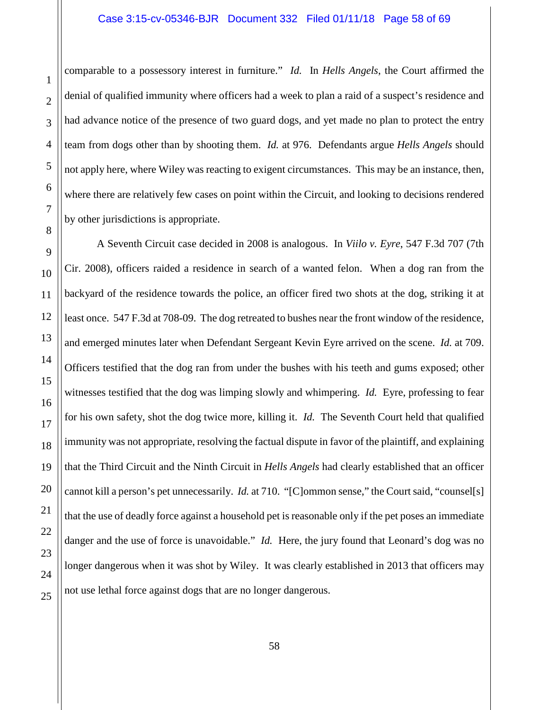comparable to a possessory interest in furniture." *Id.* In *Hells Angels*, the Court affirmed the denial of qualified immunity where officers had a week to plan a raid of a suspect's residence and had advance notice of the presence of two guard dogs, and yet made no plan to protect the entry team from dogs other than by shooting them. *Id.* at 976. Defendants argue *Hells Angels* should not apply here, where Wiley was reacting to exigent circumstances. This may be an instance, then, where there are relatively few cases on point within the Circuit, and looking to decisions rendered by other jurisdictions is appropriate.

A Seventh Circuit case decided in 2008 is analogous. In *Viilo v. Eyre*, 547 F.3d 707 (7th Cir. 2008), officers raided a residence in search of a wanted felon. When a dog ran from the backyard of the residence towards the police, an officer fired two shots at the dog, striking it at least once. 547 F.3d at 708-09. The dog retreated to bushes near the front window of the residence, and emerged minutes later when Defendant Sergeant Kevin Eyre arrived on the scene. *Id.* at 709. Officers testified that the dog ran from under the bushes with his teeth and gums exposed; other witnesses testified that the dog was limping slowly and whimpering. *Id.* Eyre, professing to fear for his own safety, shot the dog twice more, killing it. *Id.* The Seventh Court held that qualified immunity was not appropriate, resolving the factual dispute in favor of the plaintiff, and explaining that the Third Circuit and the Ninth Circuit in *Hells Angels* had clearly established that an officer cannot kill a person's pet unnecessarily. *Id.* at 710. "[C]ommon sense," the Court said, "counsel[s] that the use of deadly force against a household pet is reasonable only if the pet poses an immediate danger and the use of force is unavoidable." *Id.* Here, the jury found that Leonard's dog was no longer dangerous when it was shot by Wiley. It was clearly established in 2013 that officers may not use lethal force against dogs that are no longer dangerous.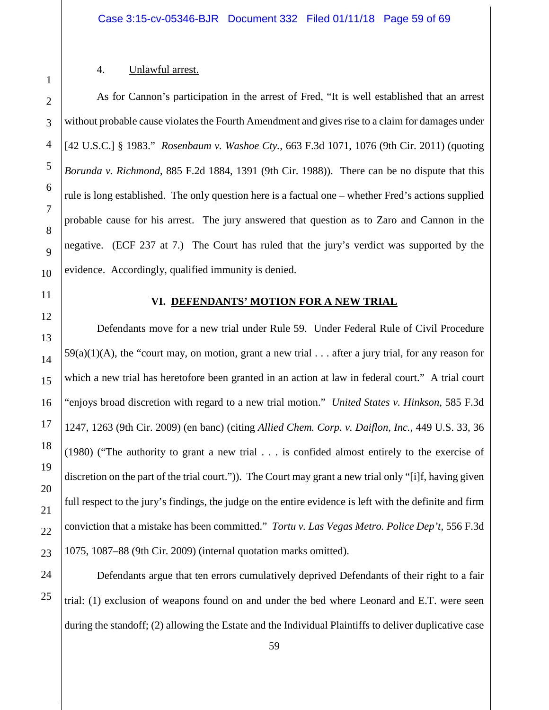#### 4. Unlawful arrest.

As for Cannon's participation in the arrest of Fred, "It is well established that an arrest without probable cause violates the Fourth Amendment and gives rise to a claim for damages under [42 U.S.C.] § 1983." *Rosenbaum v. Washoe Cty.*, 663 F.3d 1071, 1076 (9th Cir. 2011) (quoting *Borunda v. Richmond*, 885 F.2d 1884, 1391 (9th Cir. 1988)). There can be no dispute that this rule is long established. The only question here is a factual one – whether Fred's actions supplied probable cause for his arrest. The jury answered that question as to Zaro and Cannon in the negative. (ECF 237 at 7.) The Court has ruled that the jury's verdict was supported by the evidence. Accordingly, qualified immunity is denied.

<span id="page-58-1"></span>

<span id="page-58-0"></span>1

2

3

4

5

6

7

8

9

10

11

12

13

14

15

16

17

18

19

20

21

22

23

24

25

# **VI. DEFENDANTS' MOTION FOR A NEW TRIAL**

Defendants move for a new trial under Rule 59. Under Federal Rule of Civil Procedure  $59(a)(1)(A)$ , the "court may, on motion, grant a new trial . . . after a jury trial, for any reason for which a new trial has heretofore been granted in an action at law in federal court." A trial court "enjoys broad discretion with regard to a new trial motion." *United States v. Hinkson*, 585 F.3d 1247, 1263 (9th Cir. 2009) (en banc) (citing *Allied Chem. Corp. v. Daiflon, Inc.*, 449 U.S. 33, 36 (1980) ("The authority to grant a new trial . . . is confided almost entirely to the exercise of discretion on the part of the trial court.")). The Court may grant a new trial only "[i]f, having given full respect to the jury's findings, the judge on the entire evidence is left with the definite and firm conviction that a mistake has been committed." *Tortu v. Las Vegas Metro. Police Dep't*, 556 F.3d 1075, 1087–88 (9th Cir. 2009) (internal quotation marks omitted).

Defendants argue that ten errors cumulatively deprived Defendants of their right to a fair trial: (1) exclusion of weapons found on and under the bed where Leonard and E.T. were seen during the standoff; (2) allowing the Estate and the Individual Plaintiffs to deliver duplicative case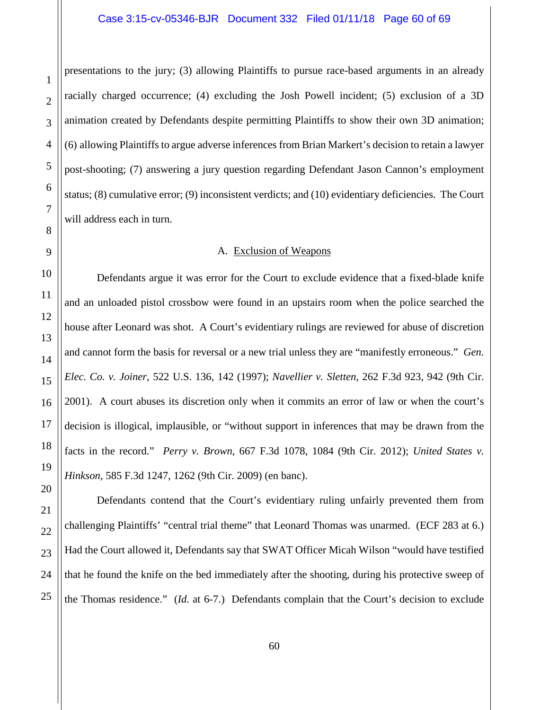presentations to the jury; (3) allowing Plaintiffs to pursue race-based arguments in an already racially charged occurrence; (4) excluding the Josh Powell incident; (5) exclusion of a 3D animation created by Defendants despite permitting Plaintiffs to show their own 3D animation; (6) allowing Plaintiffs to argue adverse inferences from Brian Markert's decision to retain a lawyer post-shooting; (7) answering a jury question regarding Defendant Jason Cannon's employment status; (8) cumulative error; (9) inconsistent verdicts; and (10) evidentiary deficiencies. The Court will address each in turn.

### A. Exclusion of Weapons

<span id="page-59-0"></span>Defendants argue it was error for the Court to exclude evidence that a fixed-blade knife and an unloaded pistol crossbow were found in an upstairs room when the police searched the house after Leonard was shot. A Court's evidentiary rulings are reviewed for abuse of discretion and cannot form the basis for reversal or a new trial unless they are "manifestly erroneous." *Gen. Elec. Co. v. Joiner*, 522 U.S. 136, 142 (1997); *Navellier v. Sletten*, 262 F.3d 923, 942 (9th Cir. 2001). A court abuses its discretion only when it commits an error of law or when the court's decision is illogical, implausible, or "without support in inferences that may be drawn from the facts in the record." *Perry v. Brown*, 667 F.3d 1078, 1084 (9th Cir. 2012); *United States v. Hinkson*, 585 F.3d 1247, 1262 (9th Cir. 2009) (en banc).

Defendants contend that the Court's evidentiary ruling unfairly prevented them from challenging Plaintiffs' "central trial theme" that Leonard Thomas was unarmed. (ECF 283 at 6.) Had the Court allowed it, Defendants say that SWAT Officer Micah Wilson "would have testified that he found the knife on the bed immediately after the shooting, during his protective sweep of the Thomas residence." (*Id.* at 6-7.) Defendants complain that the Court's decision to exclude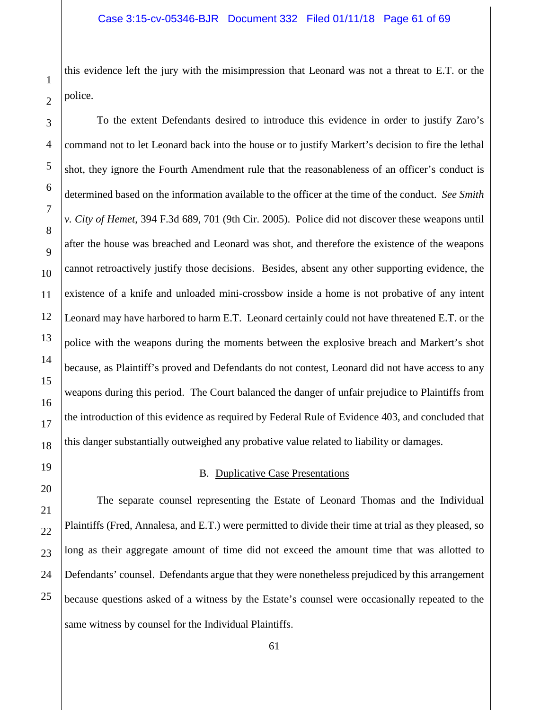this evidence left the jury with the misimpression that Leonard was not a threat to E.T. or the police.

To the extent Defendants desired to introduce this evidence in order to justify Zaro's command not to let Leonard back into the house or to justify Markert's decision to fire the lethal shot, they ignore the Fourth Amendment rule that the reasonableness of an officer's conduct is determined based on the information available to the officer at the time of the conduct. *See Smith v. City of Hemet*, 394 F.3d 689, 701 (9th Cir. 2005). Police did not discover these weapons until after the house was breached and Leonard was shot, and therefore the existence of the weapons cannot retroactively justify those decisions. Besides, absent any other supporting evidence, the existence of a knife and unloaded mini-crossbow inside a home is not probative of any intent Leonard may have harbored to harm E.T. Leonard certainly could not have threatened E.T. or the police with the weapons during the moments between the explosive breach and Markert's shot because, as Plaintiff's proved and Defendants do not contest, Leonard did not have access to any weapons during this period. The Court balanced the danger of unfair prejudice to Plaintiffs from the introduction of this evidence as required by Federal Rule of Evidence 403, and concluded that this danger substantially outweighed any probative value related to liability or damages.

# B. Duplicative Case Presentations

<span id="page-60-0"></span>The separate counsel representing the Estate of Leonard Thomas and the Individual Plaintiffs (Fred, Annalesa, and E.T.) were permitted to divide their time at trial as they pleased, so long as their aggregate amount of time did not exceed the amount time that was allotted to Defendants' counsel. Defendants argue that they were nonetheless prejudiced by this arrangement because questions asked of a witness by the Estate's counsel were occasionally repeated to the same witness by counsel for the Individual Plaintiffs.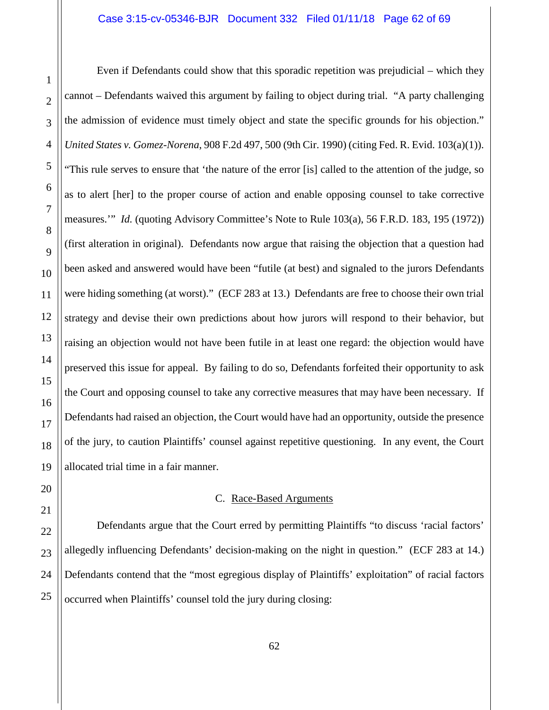Even if Defendants could show that this sporadic repetition was prejudicial – which they cannot – Defendants waived this argument by failing to object during trial. "A party challenging the admission of evidence must timely object and state the specific grounds for his objection." *United States v. Gomez-Norena*, 908 F.2d 497, 500 (9th Cir. 1990) (citing Fed. R. Evid. 103(a)(1)). "This rule serves to ensure that 'the nature of the error [is] called to the attention of the judge, so as to alert [her] to the proper course of action and enable opposing counsel to take corrective measures.'" *Id.* (quoting Advisory Committee's Note to Rule 103(a), 56 F.R.D. 183, 195 (1972)) (first alteration in original). Defendants now argue that raising the objection that a question had been asked and answered would have been "futile (at best) and signaled to the jurors Defendants were hiding something (at worst)." (ECF 283 at 13.) Defendants are free to choose their own trial strategy and devise their own predictions about how jurors will respond to their behavior, but raising an objection would not have been futile in at least one regard: the objection would have preserved this issue for appeal. By failing to do so, Defendants forfeited their opportunity to ask the Court and opposing counsel to take any corrective measures that may have been necessary. If Defendants had raised an objection, the Court would have had an opportunity, outside the presence of the jury, to caution Plaintiffs' counsel against repetitive questioning. In any event, the Court allocated trial time in a fair manner.

## C. Race-Based Arguments

<span id="page-61-0"></span>Defendants argue that the Court erred by permitting Plaintiffs "to discuss 'racial factors' allegedly influencing Defendants' decision-making on the night in question." (ECF 283 at 14.) Defendants contend that the "most egregious display of Plaintiffs' exploitation" of racial factors occurred when Plaintiffs' counsel told the jury during closing: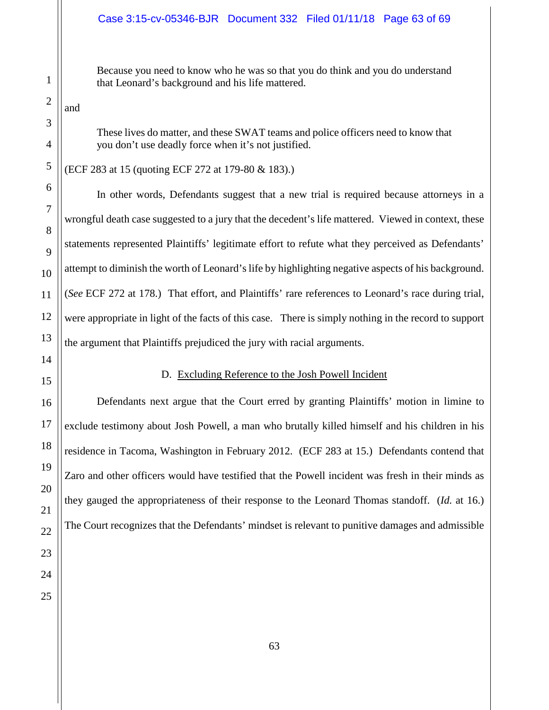Because you need to know who he was so that you do think and you do understand that Leonard's background and his life mattered.

and

These lives do matter, and these SWAT teams and police officers need to know that you don't use deadly force when it's not justified.

(ECF 283 at 15 (quoting ECF 272 at 179-80 & 183).)

In other words, Defendants suggest that a new trial is required because attorneys in a wrongful death case suggested to a jury that the decedent's life mattered. Viewed in context, these statements represented Plaintiffs' legitimate effort to refute what they perceived as Defendants' attempt to diminish the worth of Leonard's life by highlighting negative aspects of his background. (*See* ECF 272 at 178.) That effort, and Plaintiffs' rare references to Leonard's race during trial, were appropriate in light of the facts of this case. There is simply nothing in the record to support the argument that Plaintiffs prejudiced the jury with racial arguments.

# D. Excluding Reference to the Josh Powell Incident

<span id="page-62-0"></span>Defendants next argue that the Court erred by granting Plaintiffs' motion in limine to exclude testimony about Josh Powell, a man who brutally killed himself and his children in his residence in Tacoma, Washington in February 2012. (ECF 283 at 15.) Defendants contend that Zaro and other officers would have testified that the Powell incident was fresh in their minds as they gauged the appropriateness of their response to the Leonard Thomas standoff. (*Id.* at 16.) The Court recognizes that the Defendants' mindset is relevant to punitive damages and admissible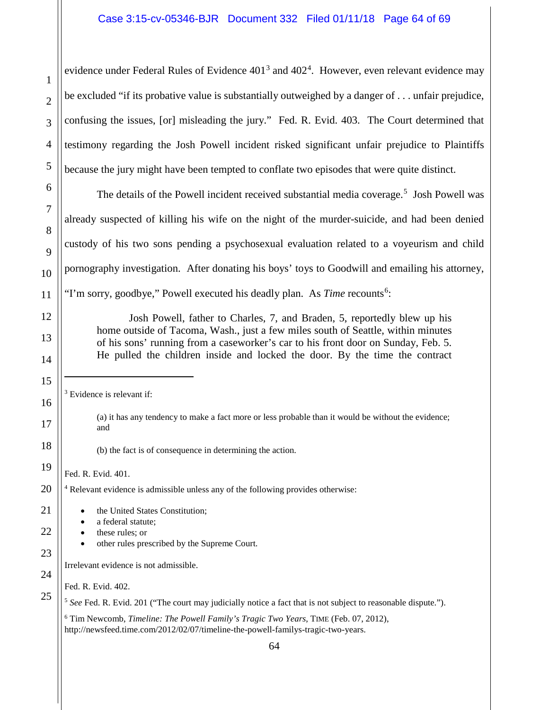evidence under Federal Rules of Evidence  $401<sup>3</sup>$  $401<sup>3</sup>$  $401<sup>3</sup>$  and  $402<sup>4</sup>$  $402<sup>4</sup>$ . However, even relevant evidence may be excluded "if its probative value is substantially outweighed by a danger of . . . unfair prejudice, confusing the issues, [or] misleading the jury." Fed. R. Evid. 403. The Court determined that testimony regarding the Josh Powell incident risked significant unfair prejudice to Plaintiffs because the jury might have been tempted to conflate two episodes that were quite distinct.

The details of the Powell incident received substantial media coverage.<sup>[5](#page-63-2)</sup> Josh Powell was already suspected of killing his wife on the night of the murder-suicide, and had been denied custody of his two sons pending a psychosexual evaluation related to a voyeurism and child pornography investigation. After donating his boys' toys to Goodwill and emailing his attorney, "I'm sorry, goodbye," Powell executed his deadly plan. As *Time* recounts<sup>[6](#page-63-3)</sup>:

Josh Powell, father to Charles, 7, and Braden, 5, reportedly blew up his home outside of Tacoma, Wash., just a few miles south of Seattle, within minutes of his sons' running from a caseworker's car to his front door on Sunday, Feb. 5. He pulled the children inside and locked the door. By the time the contract

<span id="page-63-0"></span><sup>3</sup> Evidence is relevant if:

(a) it has any tendency to make a fact more or less probable than it would be without the evidence; and

(b) the fact is of consequence in determining the action.

Fed. R. Evid. 401.

<sup>4</sup> Relevant evidence is admissible unless any of the following provides otherwise:

<span id="page-63-3"></span><span id="page-63-2"></span><span id="page-63-1"></span>64 the United States Constitution; a federal statute; • these rules; or • other rules prescribed by the Supreme Court. Irrelevant evidence is not admissible. Fed. R. Evid. 402. <sup>5</sup> See Fed. R. Evid. 201 ("The court may judicially notice a fact that is not subject to reasonable dispute."). <sup>6</sup> Tim Newcomb, *Timeline: The Powell Family's Tragic Two Years*, TIME (Feb. 07, 2012), http://newsfeed.time.com/2012/02/07/timeline-the-powell-familys-tragic-two-years.

 $\overline{a}$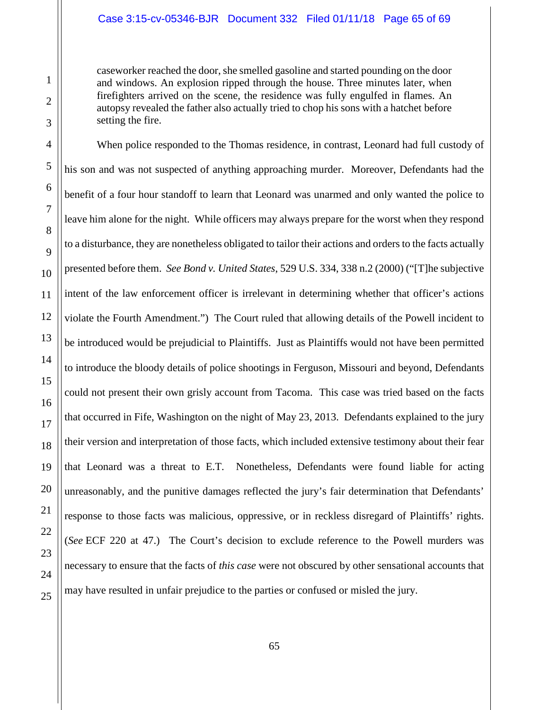## Case 3:15-cv-05346-BJR Document 332 Filed 01/11/18 Page 65 of 69

caseworker reached the door, she smelled gasoline and started pounding on the door and windows. An explosion ripped through the house. Three minutes later, when firefighters arrived on the scene, the residence was fully engulfed in flames. An autopsy revealed the father also actually tried to chop his sons with a hatchet before setting the fire.

When police responded to the Thomas residence, in contrast, Leonard had full custody of his son and was not suspected of anything approaching murder. Moreover, Defendants had the benefit of a four hour standoff to learn that Leonard was unarmed and only wanted the police to leave him alone for the night. While officers may always prepare for the worst when they respond to a disturbance, they are nonetheless obligated to tailor their actions and orders to the facts actually presented before them. *See Bond v. United States*, 529 U.S. 334, 338 n.2 (2000) ("[T]he subjective intent of the law enforcement officer is irrelevant in determining whether that officer's actions violate the Fourth Amendment.") The Court ruled that allowing details of the Powell incident to be introduced would be prejudicial to Plaintiffs. Just as Plaintiffs would not have been permitted to introduce the bloody details of police shootings in Ferguson, Missouri and beyond, Defendants could not present their own grisly account from Tacoma. This case was tried based on the facts that occurred in Fife, Washington on the night of May 23, 2013. Defendants explained to the jury their version and interpretation of those facts, which included extensive testimony about their fear that Leonard was a threat to E.T. Nonetheless, Defendants were found liable for acting unreasonably, and the punitive damages reflected the jury's fair determination that Defendants' response to those facts was malicious, oppressive, or in reckless disregard of Plaintiffs' rights. (*See* ECF 220 at 47.) The Court's decision to exclude reference to the Powell murders was necessary to ensure that the facts of *this case* were not obscured by other sensational accounts that may have resulted in unfair prejudice to the parties or confused or misled the jury.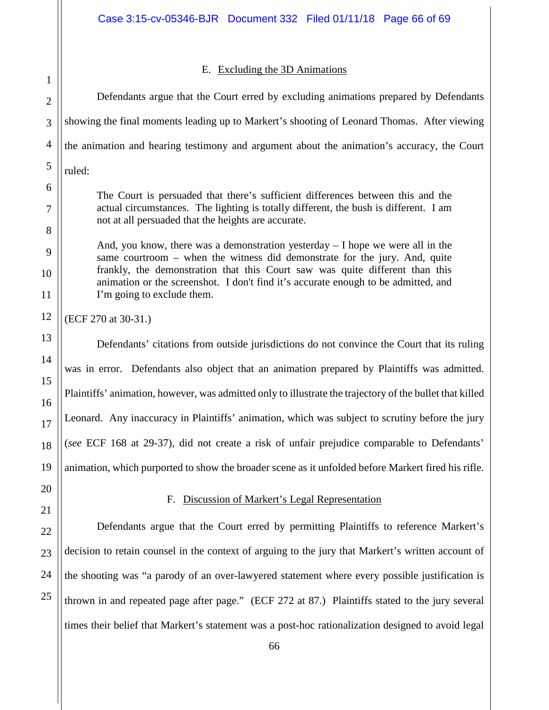# E. Excluding the 3D Animations

<span id="page-65-0"></span>Defendants argue that the Court erred by excluding animations prepared by Defendants showing the final moments leading up to Markert's shooting of Leonard Thomas. After viewing the animation and hearing testimony and argument about the animation's accuracy, the Court ruled:

The Court is persuaded that there's sufficient differences between this and the actual circumstances. The lighting is totally different, the bush is different. I am not at all persuaded that the heights are accurate.

And, you know, there was a demonstration yesterday  $-1$  hope we were all in the same courtroom – when the witness did demonstrate for the jury. And, quite frankly, the demonstration that this Court saw was quite different than this animation or the screenshot. I don't find it's accurate enough to be admitted, and I'm going to exclude them.

(ECF 270 at 30-31.)

Defendants' citations from outside jurisdictions do not convince the Court that its ruling was in error. Defendants also object that an animation prepared by Plaintiffs was admitted. Plaintiffs' animation, however, was admitted only to illustrate the trajectory of the bullet that killed Leonard. Any inaccuracy in Plaintiffs' animation, which was subject to scrutiny before the jury (*see* ECF 168 at 29-37), did not create a risk of unfair prejudice comparable to Defendants' animation, which purported to show the broader scene as it unfolded before Markert fired his rifle.

# F. Discussion of Markert's Legal Representation

<span id="page-65-1"></span>Defendants argue that the Court erred by permitting Plaintiffs to reference Markert's decision to retain counsel in the context of arguing to the jury that Markert's written account of the shooting was "a parody of an over-lawyered statement where every possible justification is thrown in and repeated page after page." (ECF 272 at 87.) Plaintiffs stated to the jury several times their belief that Markert's statement was a post-hoc rationalization designed to avoid legal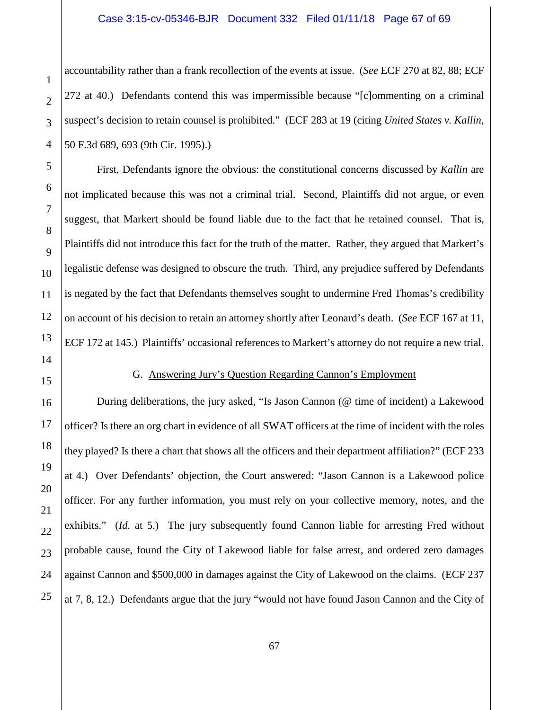#### Case 3:15-cv-05346-BJR Document 332 Filed 01/11/18 Page 67 of 69

accountability rather than a frank recollection of the events at issue. (*See* ECF 270 at 82, 88; ECF 272 at 40.) Defendants contend this was impermissible because "[c]ommenting on a criminal suspect's decision to retain counsel is prohibited." (ECF 283 at 19 (citing *United States v. Kallin*, 50 F.3d 689, 693 (9th Cir. 1995).)

First, Defendants ignore the obvious: the constitutional concerns discussed by *Kallin* are not implicated because this was not a criminal trial. Second, Plaintiffs did not argue, or even suggest, that Markert should be found liable due to the fact that he retained counsel. That is, Plaintiffs did not introduce this fact for the truth of the matter. Rather, they argued that Markert's legalistic defense was designed to obscure the truth. Third, any prejudice suffered by Defendants is negated by the fact that Defendants themselves sought to undermine Fred Thomas's credibility on account of his decision to retain an attorney shortly after Leonard's death. (*See* ECF 167 at 11, ECF 172 at 145.) Plaintiffs' occasional references to Markert's attorney do not require a new trial.

<span id="page-66-0"></span>

## G. Answering Jury's Question Regarding Cannon's Employment

During deliberations, the jury asked, "Is Jason Cannon (@ time of incident) a Lakewood officer? Is there an org chart in evidence of all SWAT officers at the time of incident with the roles they played? Is there a chart that shows all the officers and their department affiliation?" (ECF 233 at 4.) Over Defendants' objection, the Court answered: "Jason Cannon is a Lakewood police officer. For any further information, you must rely on your collective memory, notes, and the exhibits." *(Id. at 5.)* The jury subsequently found Cannon liable for arresting Fred without probable cause, found the City of Lakewood liable for false arrest, and ordered zero damages against Cannon and \$500,000 in damages against the City of Lakewood on the claims. (ECF 237 at 7, 8, 12.) Defendants argue that the jury "would not have found Jason Cannon and the City of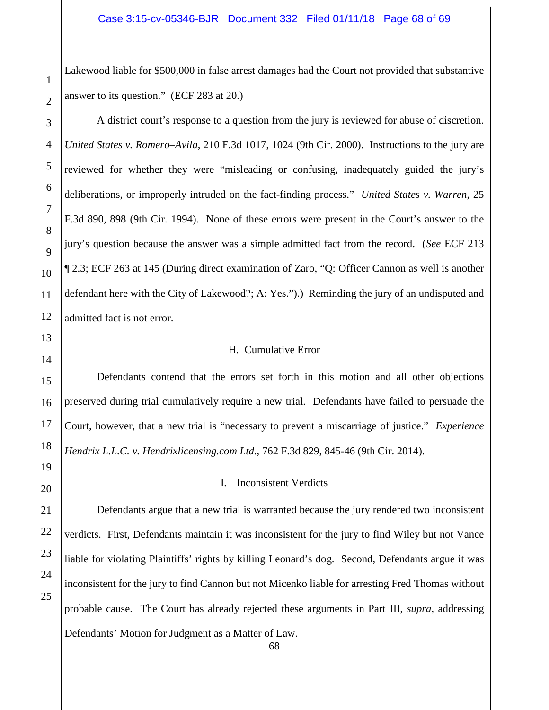Lakewood liable for \$500,000 in false arrest damages had the Court not provided that substantive answer to its question." (ECF 283 at 20.)

A district court's response to a question from the jury is reviewed for abuse of discretion. *United States v. Romero–Avila*, 210 F.3d 1017, 1024 (9th Cir. 2000). Instructions to the jury are reviewed for whether they were "misleading or confusing, inadequately guided the jury's deliberations, or improperly intruded on the fact-finding process." *United States v. Warren*, 25 F.3d 890, 898 (9th Cir. 1994). None of these errors were present in the Court's answer to the jury's question because the answer was a simple admitted fact from the record. (*See* ECF 213 ¶ 2.3; ECF 263 at 145 (During direct examination of Zaro, "Q: Officer Cannon as well is another defendant here with the City of Lakewood?; A: Yes.").) Reminding the jury of an undisputed and admitted fact is not error.

#### H. Cumulative Error

<span id="page-67-0"></span>Defendants contend that the errors set forth in this motion and all other objections preserved during trial cumulatively require a new trial. Defendants have failed to persuade the Court, however, that a new trial is "necessary to prevent a miscarriage of justice." *Experience Hendrix L.L.C. v. Hendrixlicensing.com Ltd.*, 762 F.3d 829, 845-46 (9th Cir. 2014).

#### I. Inconsistent Verdicts

<span id="page-67-1"></span>Defendants argue that a new trial is warranted because the jury rendered two inconsistent verdicts. First, Defendants maintain it was inconsistent for the jury to find Wiley but not Vance liable for violating Plaintiffs' rights by killing Leonard's dog. Second, Defendants argue it was inconsistent for the jury to find Cannon but not Micenko liable for arresting Fred Thomas without probable cause. The Court has already rejected these arguments in Part III, *supra*, addressing Defendants' Motion for Judgment as a Matter of Law.